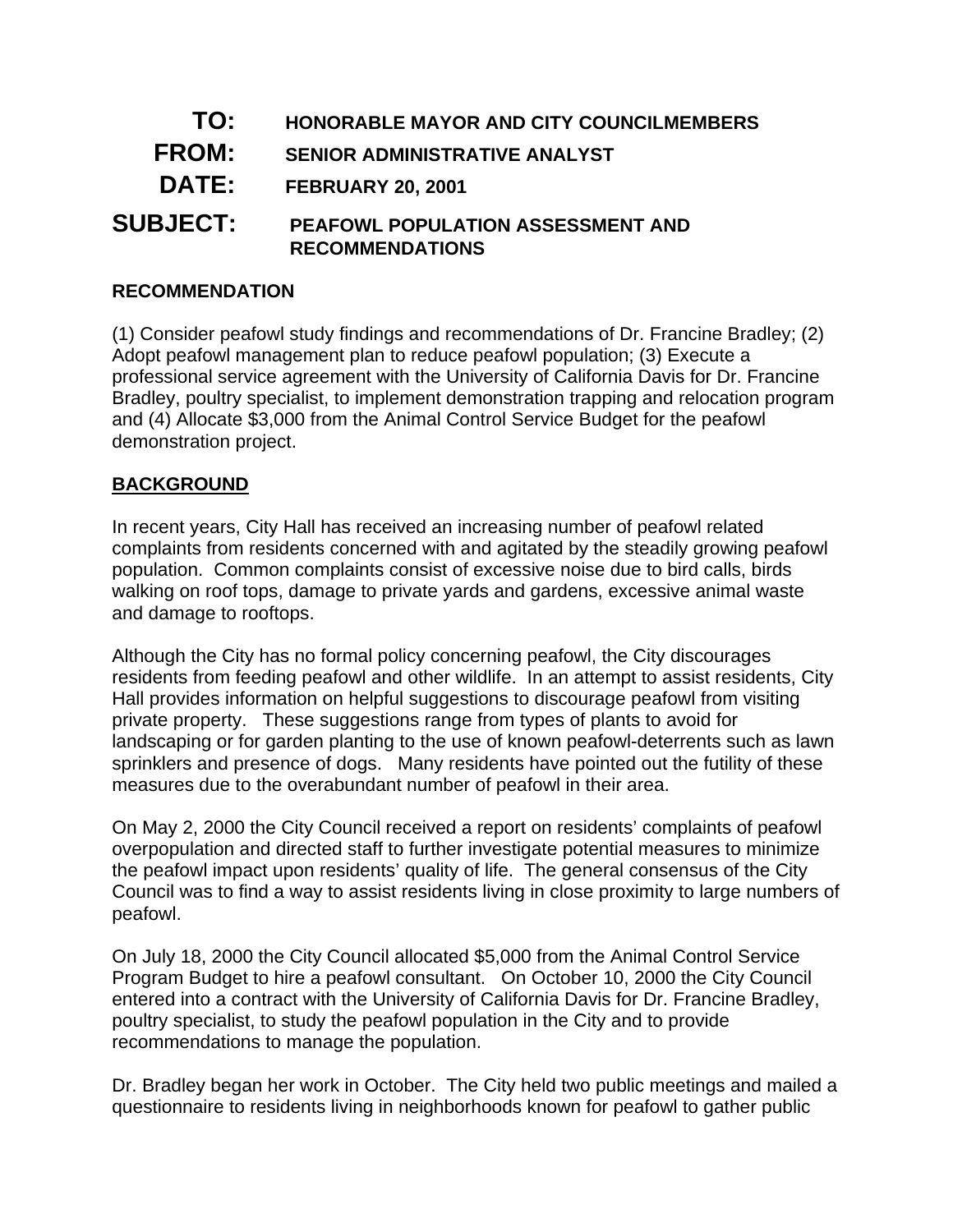- **TO: HONORABLE MAYOR AND CITY COUNCILMEMBERS**
- **FROM: SENIOR ADMINISTRATIVE ANALYST**
- **DATE: FEBRUARY 20, 2001**
- **SUBJECT: PEAFOWL POPULATION ASSESSMENT AND RECOMMENDATIONS**

### **RECOMMENDATION**

(1) Consider peafowl study findings and recommendations of Dr. Francine Bradley; (2) Adopt peafowl management plan to reduce peafowl population; (3) Execute a professional service agreement with the University of California Davis for Dr. Francine Bradley, poultry specialist, to implement demonstration trapping and relocation program and (4) Allocate \$3,000 from the Animal Control Service Budget for the peafowl demonstration project.

#### **BACKGROUND**

In recent years, City Hall has received an increasing number of peafowl related complaints from residents concerned with and agitated by the steadily growing peafowl population. Common complaints consist of excessive noise due to bird calls, birds walking on roof tops, damage to private yards and gardens, excessive animal waste and damage to rooftops.

Although the City has no formal policy concerning peafowl, the City discourages residents from feeding peafowl and other wildlife. In an attempt to assist residents, City Hall provides information on helpful suggestions to discourage peafowl from visiting private property. These suggestions range from types of plants to avoid for landscaping or for garden planting to the use of known peafowl-deterrents such as lawn sprinklers and presence of dogs. Many residents have pointed out the futility of these measures due to the overabundant number of peafowl in their area.

On May 2, 2000 the City Council received a report on residents' complaints of peafowl overpopulation and directed staff to further investigate potential measures to minimize the peafowl impact upon residents' quality of life. The general consensus of the City Council was to find a way to assist residents living in close proximity to large numbers of peafowl.

On July 18, 2000 the City Council allocated \$5,000 from the Animal Control Service Program Budget to hire a peafowl consultant. On October 10, 2000 the City Council entered into a contract with the University of California Davis for Dr. Francine Bradley, poultry specialist, to study the peafowl population in the City and to provide recommendations to manage the population.

Dr. Bradley began her work in October. The City held two public meetings and mailed a questionnaire to residents living in neighborhoods known for peafowl to gather public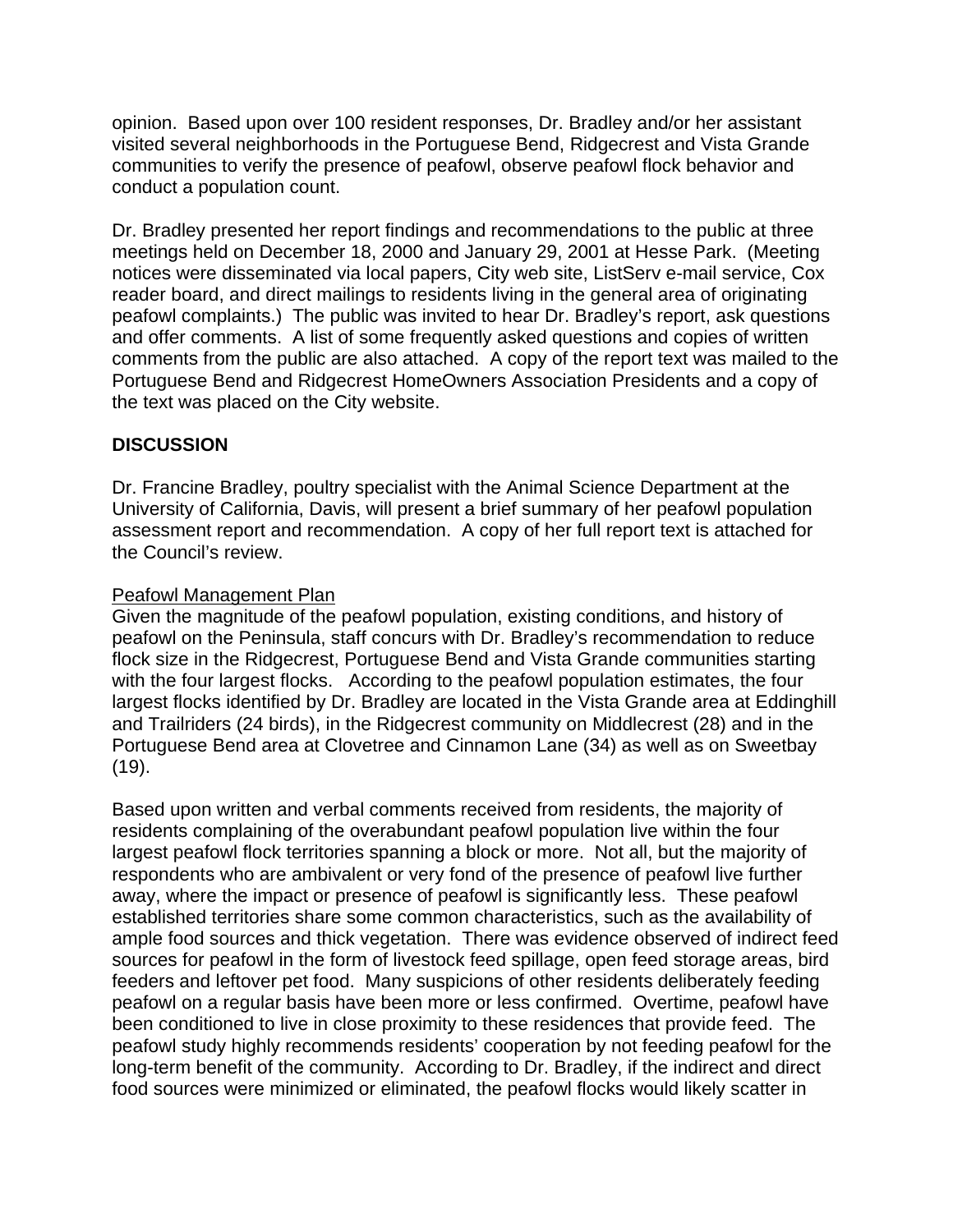opinion. Based upon over 100 resident responses, Dr. Bradley and/or her assistant visited several neighborhoods in the Portuguese Bend, Ridgecrest and Vista Grande communities to verify the presence of peafowl, observe peafowl flock behavior and conduct a population count.

Dr. Bradley presented her report findings and recommendations to the public at three meetings held on December 18, 2000 and January 29, 2001 at Hesse Park. (Meeting notices were disseminated via local papers, City web site, ListServ e-mail service, Cox reader board, and direct mailings to residents living in the general area of originating peafowl complaints.) The public was invited to hear Dr. Bradley's report, ask questions and offer comments. A list of some frequently asked questions and copies of written comments from the public are also attached. A copy of the report text was mailed to the Portuguese Bend and Ridgecrest HomeOwners Association Presidents and a copy of the text was placed on the City website.

# **DISCUSSION**

Dr. Francine Bradley, poultry specialist with the Animal Science Department at the University of California, Davis, will present a brief summary of her peafowl population assessment report and recommendation. A copy of her full report text is attached for the Council's review.

#### Peafowl Management Plan

Given the magnitude of the peafowl population, existing conditions, and history of peafowl on the Peninsula, staff concurs with Dr. Bradley's recommendation to reduce flock size in the Ridgecrest, Portuguese Bend and Vista Grande communities starting with the four largest flocks. According to the peafowl population estimates, the four largest flocks identified by Dr. Bradley are located in the Vista Grande area at Eddinghill and Trailriders (24 birds), in the Ridgecrest community on Middlecrest (28) and in the Portuguese Bend area at Clovetree and Cinnamon Lane (34) as well as on Sweetbay (19).

Based upon written and verbal comments received from residents, the majority of residents complaining of the overabundant peafowl population live within the four largest peafowl flock territories spanning a block or more. Not all, but the majority of respondents who are ambivalent or very fond of the presence of peafowl live further away, where the impact or presence of peafowl is significantly less. These peafowl established territories share some common characteristics, such as the availability of ample food sources and thick vegetation. There was evidence observed of indirect feed sources for peafowl in the form of livestock feed spillage, open feed storage areas, bird feeders and leftover pet food. Many suspicions of other residents deliberately feeding peafowl on a regular basis have been more or less confirmed. Overtime, peafowl have been conditioned to live in close proximity to these residences that provide feed. The peafowl study highly recommends residents' cooperation by not feeding peafowl for the long-term benefit of the community. According to Dr. Bradley, if the indirect and direct food sources were minimized or eliminated, the peafowl flocks would likely scatter in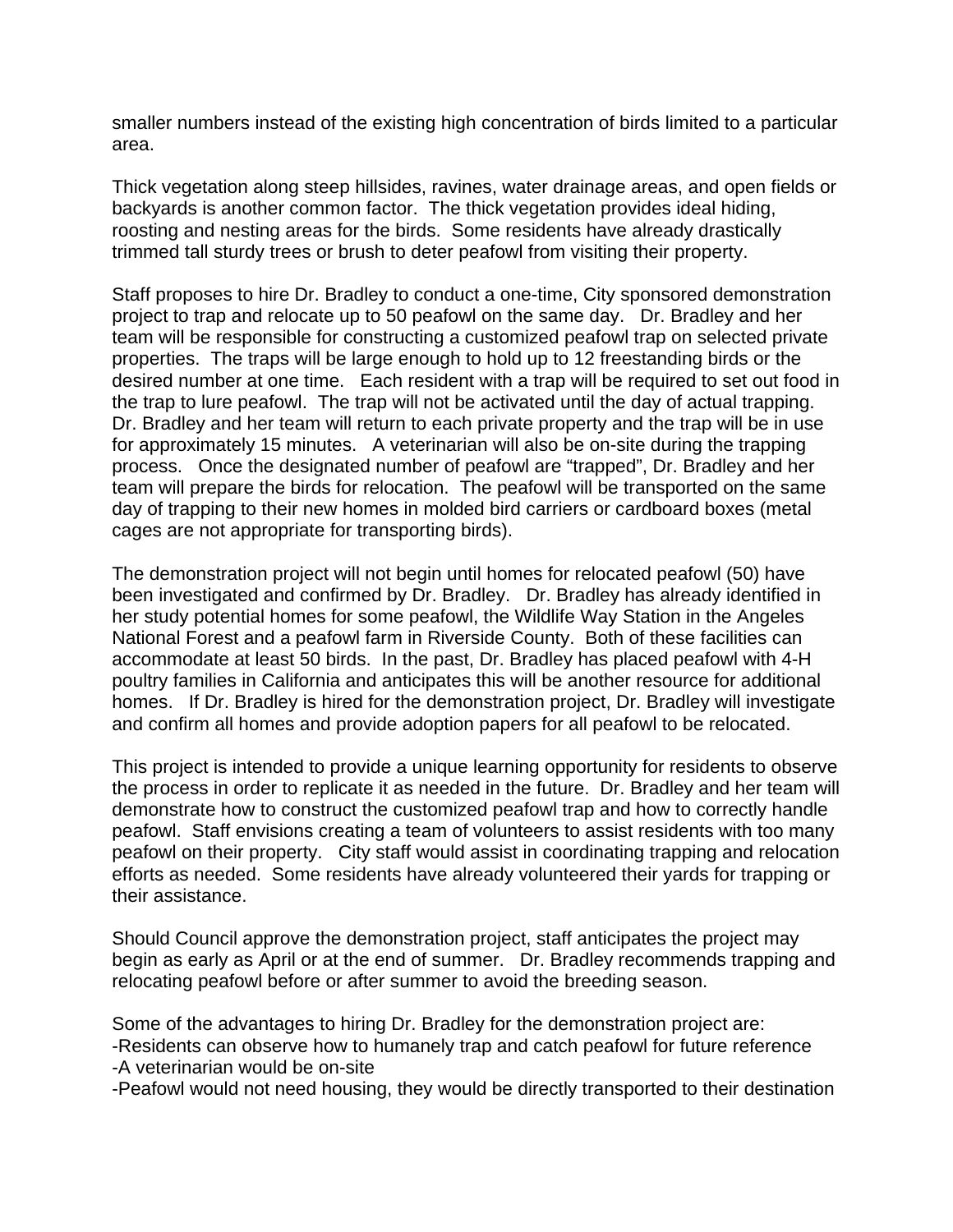smaller numbers instead of the existing high concentration of birds limited to a particular area.

Thick vegetation along steep hillsides, ravines, water drainage areas, and open fields or backyards is another common factor. The thick vegetation provides ideal hiding, roosting and nesting areas for the birds. Some residents have already drastically trimmed tall sturdy trees or brush to deter peafowl from visiting their property.

Staff proposes to hire Dr. Bradley to conduct a one-time, City sponsored demonstration project to trap and relocate up to 50 peafowl on the same day. Dr. Bradley and her team will be responsible for constructing a customized peafowl trap on selected private properties. The traps will be large enough to hold up to 12 freestanding birds or the desired number at one time. Each resident with a trap will be required to set out food in the trap to lure peafowl. The trap will not be activated until the day of actual trapping. Dr. Bradley and her team will return to each private property and the trap will be in use for approximately 15 minutes. A veterinarian will also be on-site during the trapping process. Once the designated number of peafowl are "trapped", Dr. Bradley and her team will prepare the birds for relocation. The peafowl will be transported on the same day of trapping to their new homes in molded bird carriers or cardboard boxes (metal cages are not appropriate for transporting birds).

The demonstration project will not begin until homes for relocated peafowl (50) have been investigated and confirmed by Dr. Bradley. Dr. Bradley has already identified in her study potential homes for some peafowl, the Wildlife Way Station in the Angeles National Forest and a peafowl farm in Riverside County. Both of these facilities can accommodate at least 50 birds. In the past, Dr. Bradley has placed peafowl with 4-H poultry families in California and anticipates this will be another resource for additional homes. If Dr. Bradley is hired for the demonstration project, Dr. Bradley will investigate and confirm all homes and provide adoption papers for all peafowl to be relocated.

This project is intended to provide a unique learning opportunity for residents to observe the process in order to replicate it as needed in the future. Dr. Bradley and her team will demonstrate how to construct the customized peafowl trap and how to correctly handle peafowl. Staff envisions creating a team of volunteers to assist residents with too many peafowl on their property. City staff would assist in coordinating trapping and relocation efforts as needed. Some residents have already volunteered their yards for trapping or their assistance.

Should Council approve the demonstration project, staff anticipates the project may begin as early as April or at the end of summer. Dr. Bradley recommends trapping and relocating peafowl before or after summer to avoid the breeding season.

Some of the advantages to hiring Dr. Bradley for the demonstration project are: -Residents can observe how to humanely trap and catch peafowl for future reference -A veterinarian would be on-site

-Peafowl would not need housing, they would be directly transported to their destination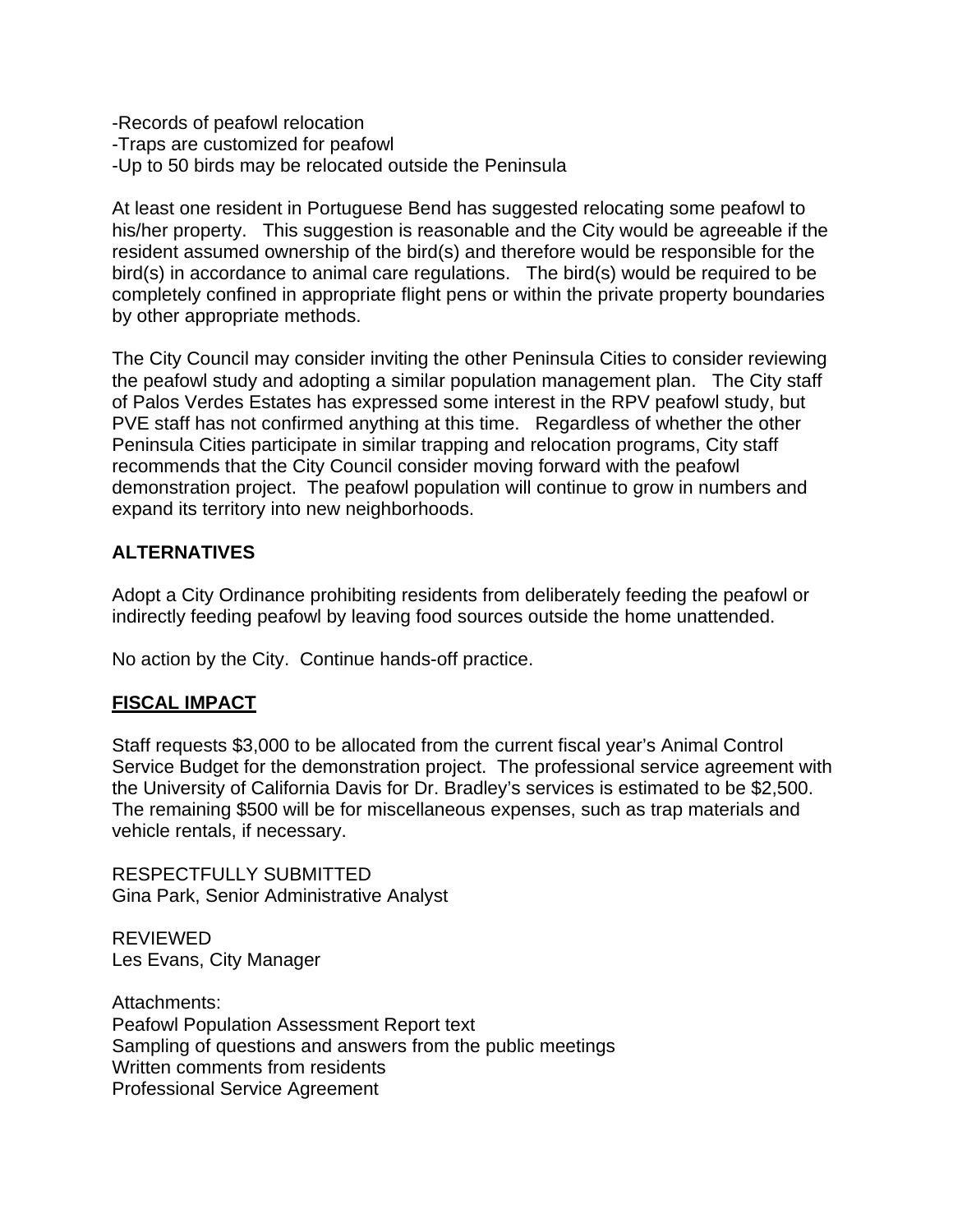-Records of peafowl relocation -Traps are customized for peafowl -Up to 50 birds may be relocated outside the Peninsula

At least one resident in Portuguese Bend has suggested relocating some peafowl to his/her property. This suggestion is reasonable and the City would be agreeable if the resident assumed ownership of the bird(s) and therefore would be responsible for the bird(s) in accordance to animal care regulations. The bird(s) would be required to be completely confined in appropriate flight pens or within the private property boundaries by other appropriate methods.

The City Council may consider inviting the other Peninsula Cities to consider reviewing the peafowl study and adopting a similar population management plan. The City staff of Palos Verdes Estates has expressed some interest in the RPV peafowl study, but PVE staff has not confirmed anything at this time. Regardless of whether the other Peninsula Cities participate in similar trapping and relocation programs, City staff recommends that the City Council consider moving forward with the peafowl demonstration project. The peafowl population will continue to grow in numbers and expand its territory into new neighborhoods.

# **ALTERNATIVES**

Adopt a City Ordinance prohibiting residents from deliberately feeding the peafowl or indirectly feeding peafowl by leaving food sources outside the home unattended.

No action by the City. Continue hands-off practice.

#### **FISCAL IMPACT**

Staff requests \$3,000 to be allocated from the current fiscal year's Animal Control Service Budget for the demonstration project. The professional service agreement with the University of California Davis for Dr. Bradley's services is estimated to be \$2,500. The remaining \$500 will be for miscellaneous expenses, such as trap materials and vehicle rentals, if necessary.

RESPECTFULLY SUBMITTED Gina Park, Senior Administrative Analyst

REVIEWED Les Evans, City Manager

Attachments: Peafowl Population Assessment Report text Sampling of questions and answers from the public meetings Written comments from residents Professional Service Agreement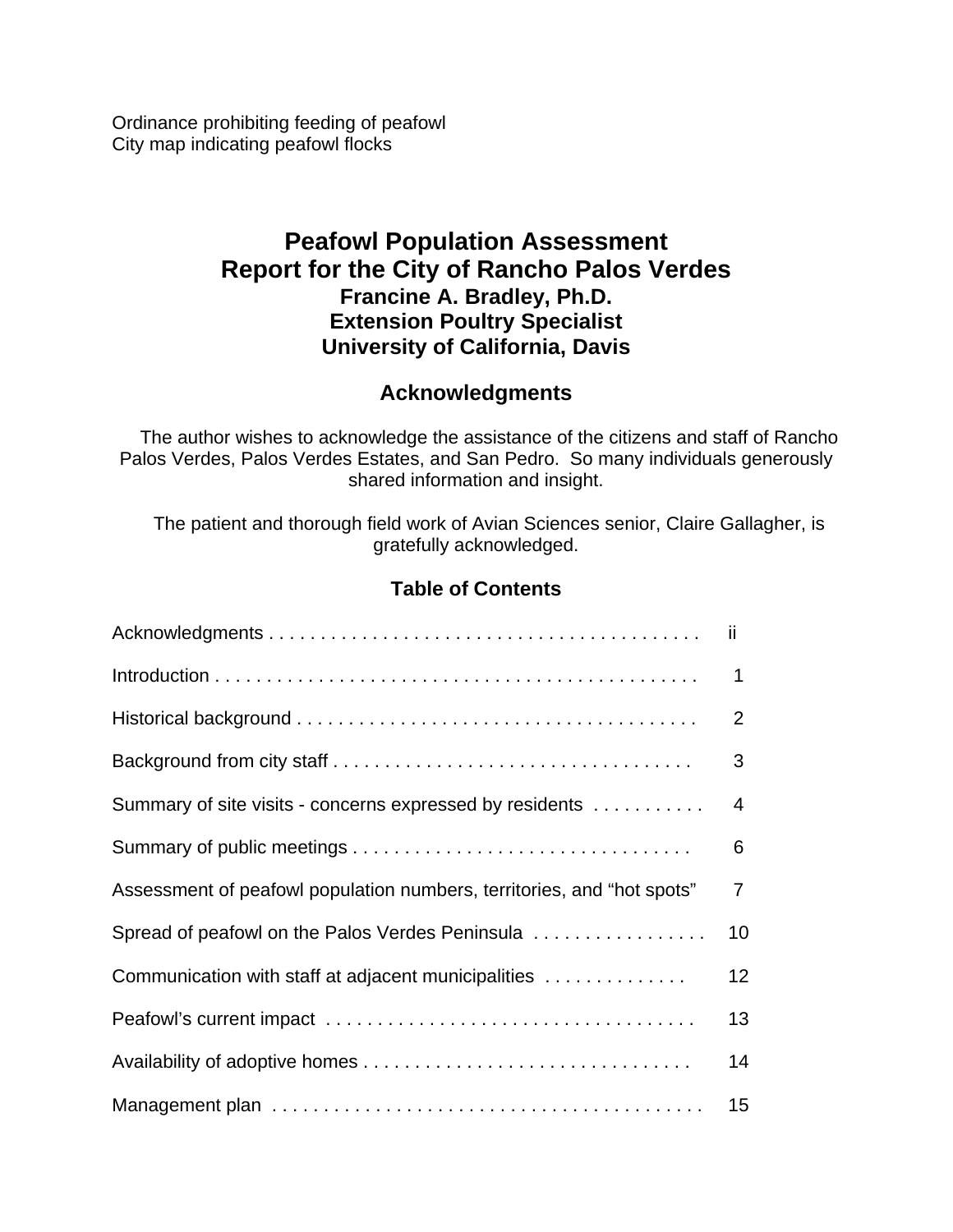Ordinance prohibiting feeding of peafowl City map indicating peafowl flocks

# **Peafowl Population Assessment Report for the City of Rancho Palos Verdes Francine A. Bradley, Ph.D. Extension Poultry Specialist University of California, Davis**

# **Acknowledgments**

 The author wishes to acknowledge the assistance of the citizens and staff of Rancho Palos Verdes, Palos Verdes Estates, and San Pedro. So many individuals generously shared information and insight.

 The patient and thorough field work of Avian Sciences senior, Claire Gallagher, is gratefully acknowledged.

# **Table of Contents**

|                                                                        | ii |
|------------------------------------------------------------------------|----|
|                                                                        | 1  |
|                                                                        | 2  |
|                                                                        | 3  |
| Summary of site visits - concerns expressed by residents               | 4  |
|                                                                        | 6  |
| Assessment of peafowl population numbers, territories, and "hot spots" | 7  |
| Spread of peafowl on the Palos Verdes Peninsula                        | 10 |
| Communication with staff at adjacent municipalities                    | 12 |
|                                                                        | 13 |
|                                                                        | 14 |
|                                                                        | 15 |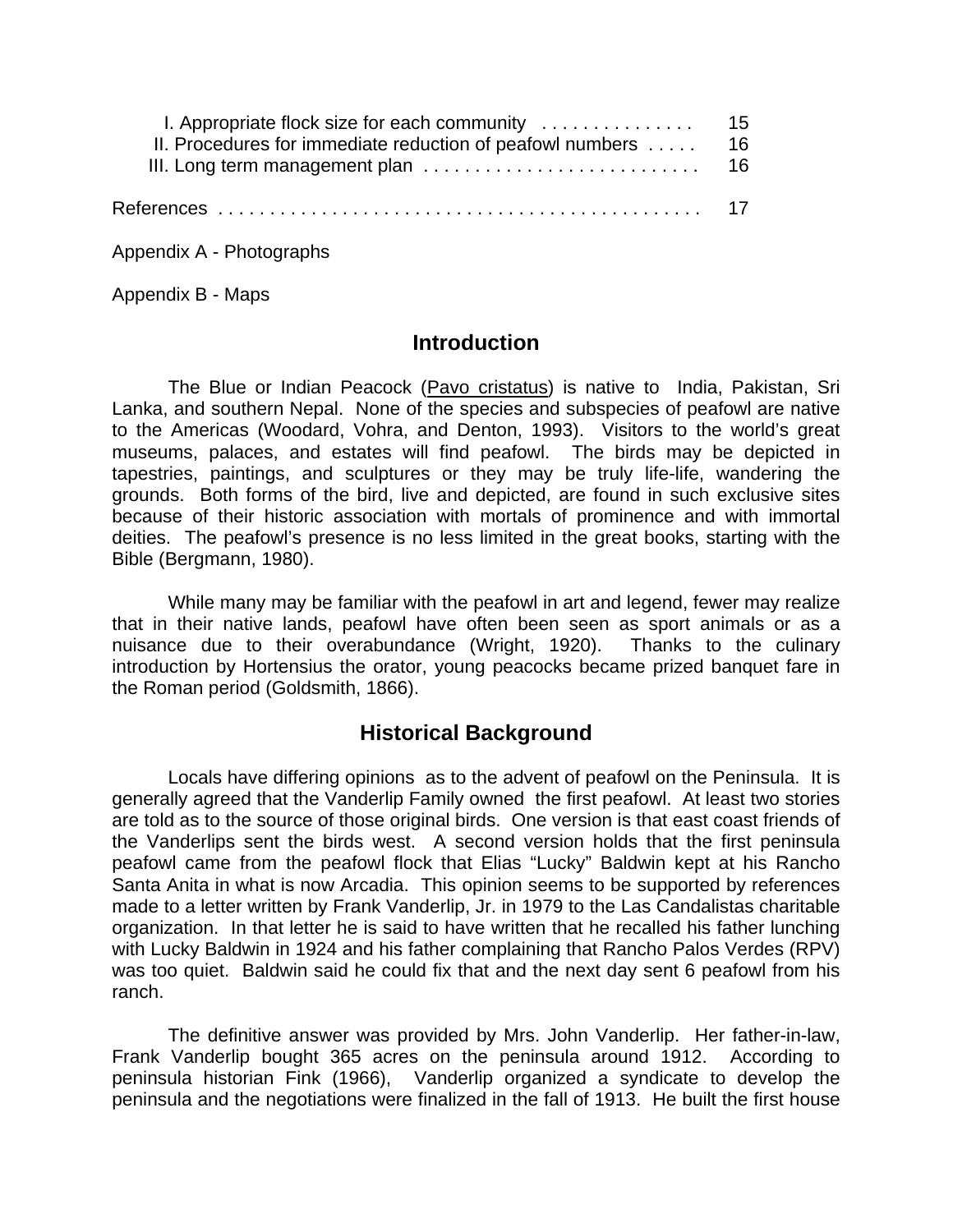| I. Appropriate flock size for each community $\dots\dots\dots\dots\dots$ 15 |  |
|-----------------------------------------------------------------------------|--|
| II. Procedures for immediate reduction of peafowl numbers $\dots$ 16        |  |
|                                                                             |  |
|                                                                             |  |

Appendix A - Photographs

Appendix B - Maps

# **Introduction**

The Blue or Indian Peacock (Pavo cristatus) is native to India, Pakistan, Sri Lanka, and southern Nepal. None of the species and subspecies of peafowl are native to the Americas (Woodard, Vohra, and Denton, 1993).Visitors to the world's great museums, palaces, and estates will find peafowl. The birds may be depicted in tapestries, paintings, and sculptures or they may be truly life-life, wandering the grounds. Both forms of the bird, live and depicted, are found in such exclusive sites because of their historic association with mortals of prominence and with immortal deities. The peafowl's presence is no less limited in the great books, starting with the Bible (Bergmann, 1980).

While many may be familiar with the peafowl in art and legend, fewer may realize that in their native lands, peafowl have often been seen as sport animals or as a nuisance due to their overabundance (Wright, 1920). Thanks to the culinary introduction by Hortensius the orator, young peacocks became prized banquet fare in the Roman period (Goldsmith, 1866).

# **Historical Background**

Locals have differing opinions as to the advent of peafowl on the Peninsula. It is generally agreed that the Vanderlip Family owned the first peafowl. At least two stories are told as to the source of those original birds. One version is that east coast friends of the Vanderlips sent the birds west. A second version holds that the first peninsula peafowl came from the peafowl flock that Elias "Lucky" Baldwin kept at his Rancho Santa Anita in what is now Arcadia. This opinion seems to be supported by references made to a letter written by Frank Vanderlip, Jr. in 1979 to the Las Candalistas charitable organization. In that letter he is said to have written that he recalled his father lunching with Lucky Baldwin in 1924 and his father complaining that Rancho Palos Verdes (RPV) was too quiet. Baldwin said he could fix that and the next day sent 6 peafowl from his ranch.

The definitive answer was provided by Mrs. John Vanderlip. Her father-in-law, Frank Vanderlip bought 365 acres on the peninsula around 1912. According to peninsula historian Fink (1966), Vanderlip organized a syndicate to develop the peninsula and the negotiations were finalized in the fall of 1913. He built the first house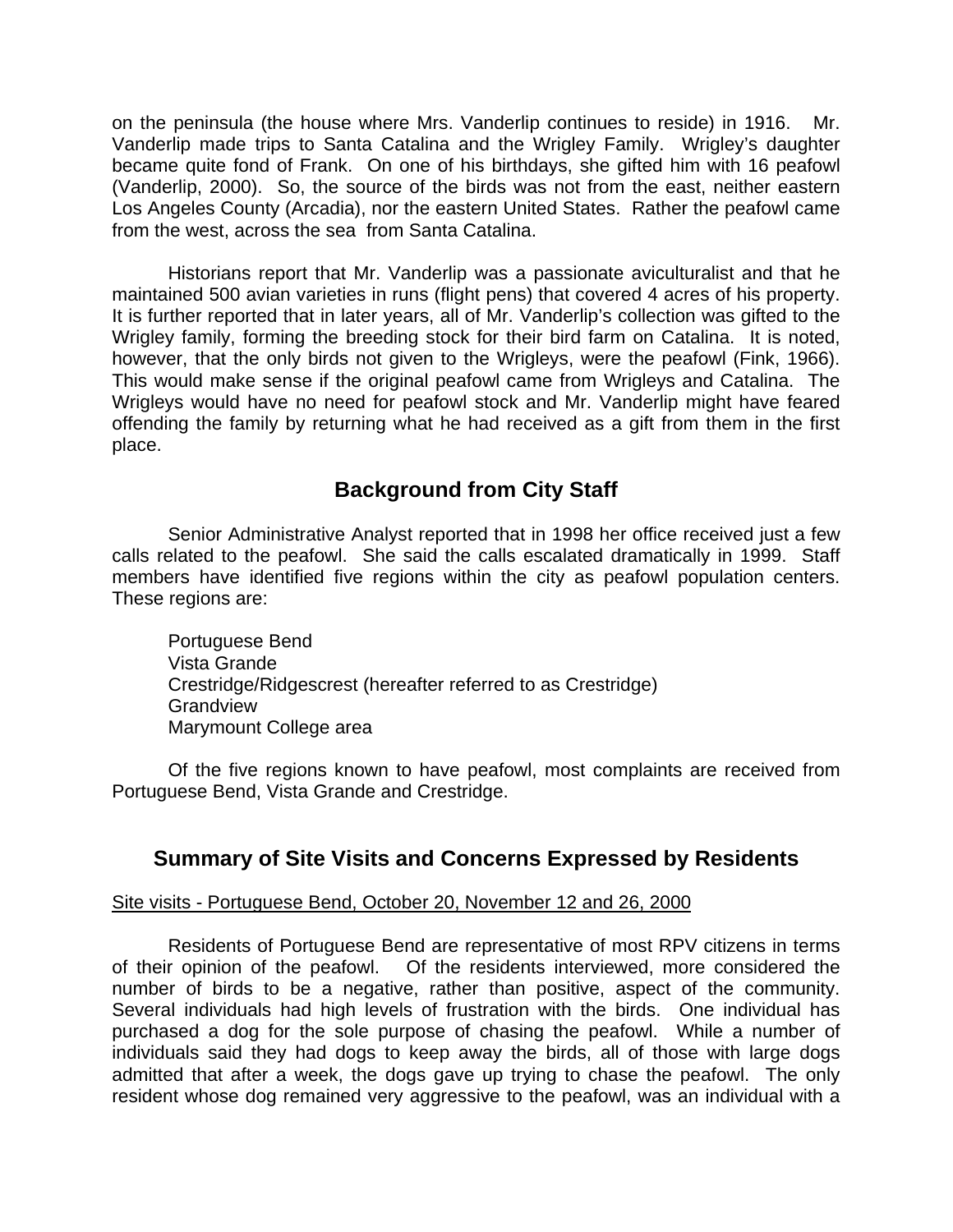on the peninsula (the house where Mrs. Vanderlip continues to reside) in 1916. Mr. Vanderlip made trips to Santa Catalina and the Wrigley Family. Wrigley's daughter became quite fond of Frank. On one of his birthdays, she gifted him with 16 peafowl (Vanderlip, 2000). So, the source of the birds was not from the east, neither eastern Los Angeles County (Arcadia), nor the eastern United States. Rather the peafowl came from the west, across the sea from Santa Catalina.

Historians report that Mr. Vanderlip was a passionate aviculturalist and that he maintained 500 avian varieties in runs (flight pens) that covered 4 acres of his property. It is further reported that in later years, all of Mr. Vanderlip's collection was gifted to the Wrigley family, forming the breeding stock for their bird farm on Catalina. It is noted, however, that the only birds not given to the Wrigleys, were the peafowl (Fink, 1966). This would make sense if the original peafowl came from Wrigleys and Catalina. The Wrigleys would have no need for peafowl stock and Mr. Vanderlip might have feared offending the family by returning what he had received as a gift from them in the first place.

# **Background from City Staff**

Senior Administrative Analyst reported that in 1998 her office received just a few calls related to the peafowl. She said the calls escalated dramatically in 1999. Staff members have identified five regions within the city as peafowl population centers. These regions are:

Portuguese Bend Vista Grande Crestridge/Ridgescrest (hereafter referred to as Crestridge) **Grandview** Marymount College area

Of the five regions known to have peafowl, most complaints are received from Portuguese Bend, Vista Grande and Crestridge.

# **Summary of Site Visits and Concerns Expressed by Residents**

#### Site visits - Portuguese Bend, October 20, November 12 and 26, 2000

Residents of Portuguese Bend are representative of most RPV citizens in terms of their opinion of the peafowl. Of the residents interviewed, more considered the number of birds to be a negative, rather than positive, aspect of the community. Several individuals had high levels of frustration with the birds. One individual has purchased a dog for the sole purpose of chasing the peafowl. While a number of individuals said they had dogs to keep away the birds, all of those with large dogs admitted that after a week, the dogs gave up trying to chase the peafowl. The only resident whose dog remained very aggressive to the peafowl, was an individual with a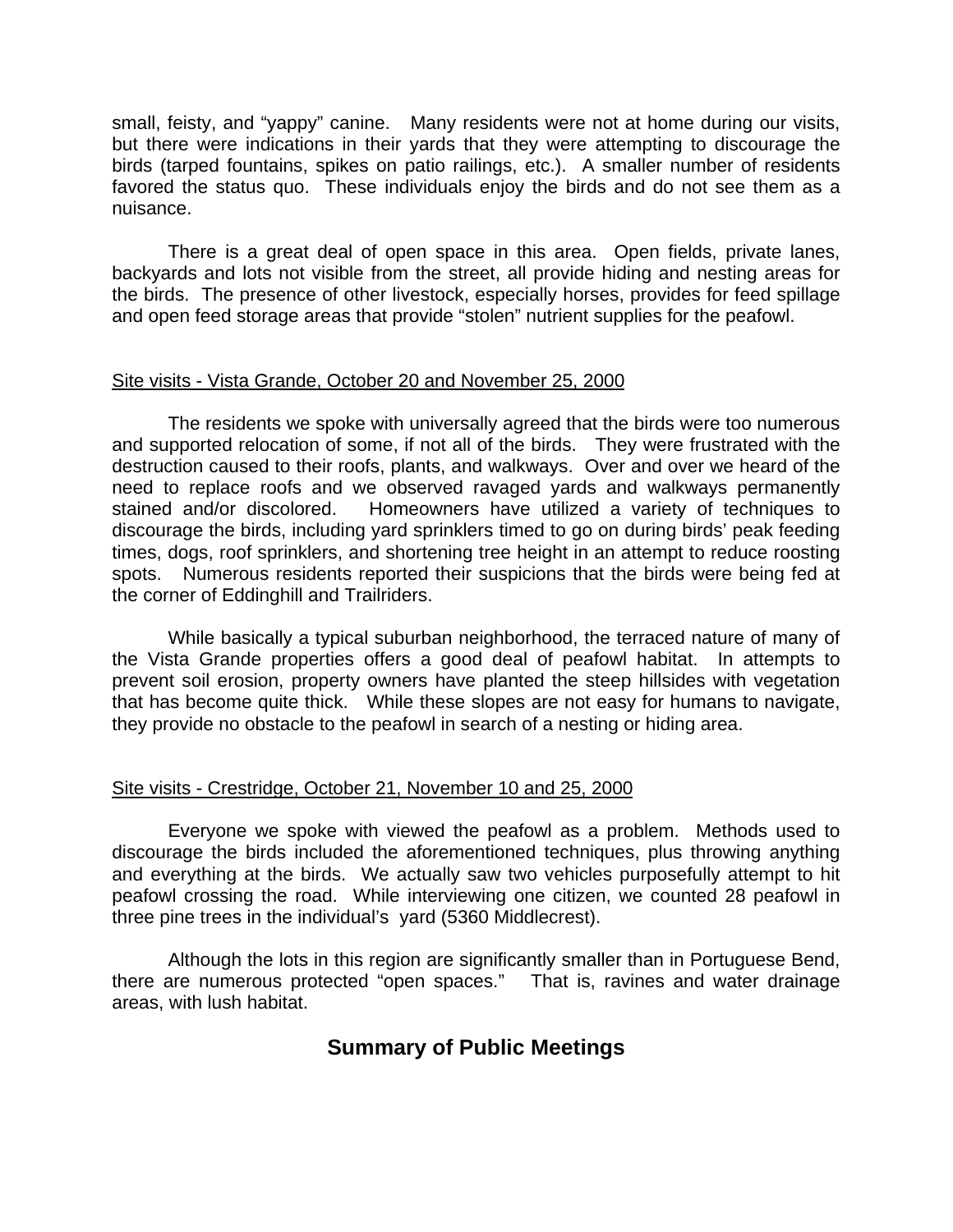small, feisty, and "yappy" canine. Many residents were not at home during our visits, but there were indications in their yards that they were attempting to discourage the birds (tarped fountains, spikes on patio railings, etc.). A smaller number of residents favored the status quo. These individuals enjoy the birds and do not see them as a nuisance.

There is a great deal of open space in this area. Open fields, private lanes, backyards and lots not visible from the street, all provide hiding and nesting areas for the birds. The presence of other livestock, especially horses, provides for feed spillage and open feed storage areas that provide "stolen" nutrient supplies for the peafowl.

#### Site visits - Vista Grande, October 20 and November 25, 2000

The residents we spoke with universally agreed that the birds were too numerous and supported relocation of some, if not all of the birds. They were frustrated with the destruction caused to their roofs, plants, and walkways. Over and over we heard of the need to replace roofs and we observed ravaged yards and walkways permanently stained and/or discolored. Homeowners have utilized a variety of techniques to discourage the birds, including yard sprinklers timed to go on during birds' peak feeding times, dogs, roof sprinklers, and shortening tree height in an attempt to reduce roosting spots. Numerous residents reported their suspicions that the birds were being fed at the corner of Eddinghill and Trailriders.

While basically a typical suburban neighborhood, the terraced nature of many of the Vista Grande properties offers a good deal of peafowl habitat. In attempts to prevent soil erosion, property owners have planted the steep hillsides with vegetation that has become quite thick. While these slopes are not easy for humans to navigate, they provide no obstacle to the peafowl in search of a nesting or hiding area.

#### Site visits - Crestridge, October 21, November 10 and 25, 2000

Everyone we spoke with viewed the peafowl as a problem. Methods used to discourage the birds included the aforementioned techniques, plus throwing anything and everything at the birds. We actually saw two vehicles purposefully attempt to hit peafowl crossing the road. While interviewing one citizen, we counted 28 peafowl in three pine trees in the individual's yard (5360 Middlecrest).

Although the lots in this region are significantly smaller than in Portuguese Bend, there are numerous protected "open spaces." That is, ravines and water drainage areas, with lush habitat.

# **Summary of Public Meetings**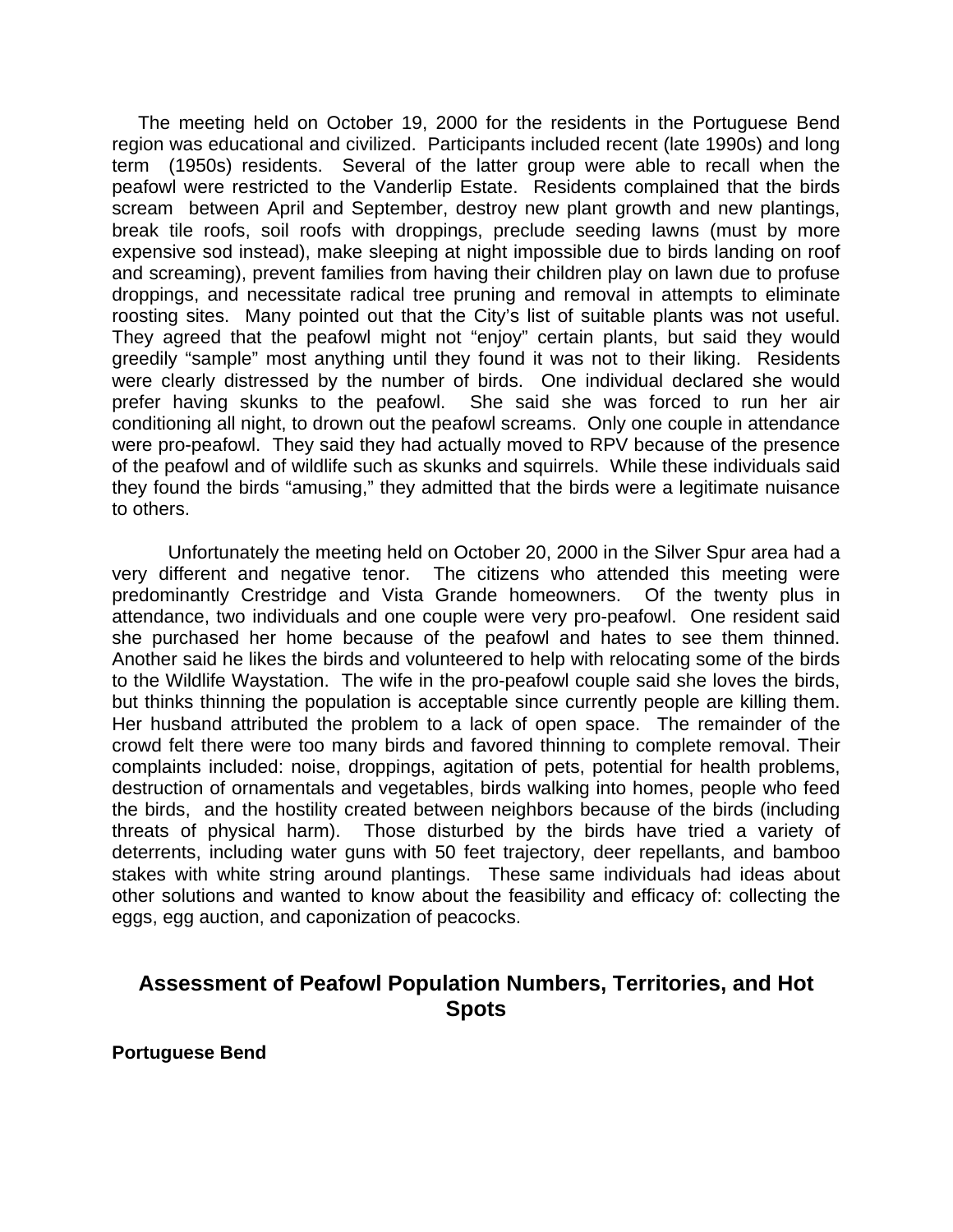The meeting held on October 19, 2000 for the residents in the Portuguese Bend region was educational and civilized. Participants included recent (late 1990s) and long term (1950s) residents. Several of the latter group were able to recall when the peafowl were restricted to the Vanderlip Estate. Residents complained that the birds scream between April and September, destroy new plant growth and new plantings, break tile roofs, soil roofs with droppings, preclude seeding lawns (must by more expensive sod instead), make sleeping at night impossible due to birds landing on roof and screaming), prevent families from having their children play on lawn due to profuse droppings, and necessitate radical tree pruning and removal in attempts to eliminate roosting sites. Many pointed out that the City's list of suitable plants was not useful. They agreed that the peafowl might not "enjoy" certain plants, but said they would greedily "sample" most anything until they found it was not to their liking. Residents were clearly distressed by the number of birds. One individual declared she would prefer having skunks to the peafowl. She said she was forced to run her air conditioning all night, to drown out the peafowl screams. Only one couple in attendance were pro-peafowl. They said they had actually moved to RPV because of the presence of the peafowl and of wildlife such as skunks and squirrels. While these individuals said they found the birds "amusing," they admitted that the birds were a legitimate nuisance to others.

Unfortunately the meeting held on October 20, 2000 in the Silver Spur area had a very different and negative tenor. The citizens who attended this meeting were predominantly Crestridge and Vista Grande homeowners. Of the twenty plus in attendance, two individuals and one couple were very pro-peafowl. One resident said she purchased her home because of the peafowl and hates to see them thinned. Another said he likes the birds and volunteered to help with relocating some of the birds to the Wildlife Waystation. The wife in the pro-peafowl couple said she loves the birds, but thinks thinning the population is acceptable since currently people are killing them. Her husband attributed the problem to a lack of open space. The remainder of the crowd felt there were too many birds and favored thinning to complete removal. Their complaints included: noise, droppings, agitation of pets, potential for health problems, destruction of ornamentals and vegetables, birds walking into homes, people who feed the birds, and the hostility created between neighbors because of the birds (including threats of physical harm). Those disturbed by the birds have tried a variety of deterrents, including water guns with 50 feet trajectory, deer repellants, and bamboo stakes with white string around plantings. These same individuals had ideas about other solutions and wanted to know about the feasibility and efficacy of: collecting the eggs, egg auction, and caponization of peacocks.

# **Assessment of Peafowl Population Numbers, Territories, and Hot Spots**

**Portuguese Bend**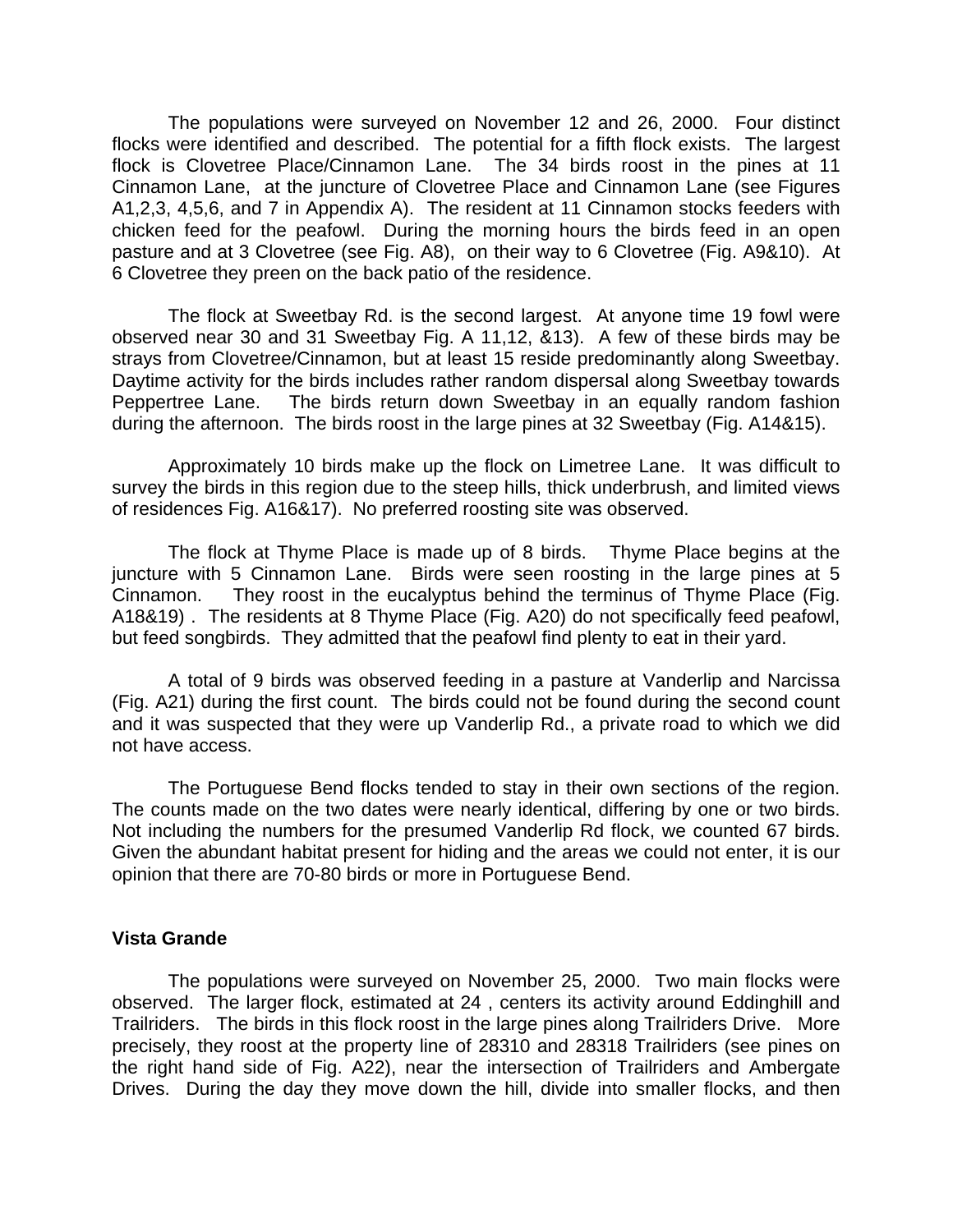The populations were surveyed on November 12 and 26, 2000. Four distinct flocks were identified and described. The potential for a fifth flock exists. The largest flock is Clovetree Place/Cinnamon Lane. The 34 birds roost in the pines at 11 Cinnamon Lane, at the juncture of Clovetree Place and Cinnamon Lane (see Figures A1,2,3, 4,5,6, and 7 in Appendix A). The resident at 11 Cinnamon stocks feeders with chicken feed for the peafowl. During the morning hours the birds feed in an open pasture and at 3 Clovetree (see Fig. A8), on their way to 6 Clovetree (Fig. A9&10). At 6 Clovetree they preen on the back patio of the residence.

The flock at Sweetbay Rd. is the second largest. At anyone time 19 fowl were observed near 30 and 31 Sweetbay Fig. A 11,12, &13). A few of these birds may be strays from Clovetree/Cinnamon, but at least 15 reside predominantly along Sweetbay. Daytime activity for the birds includes rather random dispersal along Sweetbay towards Peppertree Lane. The birds return down Sweetbay in an equally random fashion during the afternoon. The birds roost in the large pines at 32 Sweetbay (Fig. A14&15).

Approximately 10 birds make up the flock on Limetree Lane. It was difficult to survey the birds in this region due to the steep hills, thick underbrush, and limited views of residences Fig. A16&17). No preferred roosting site was observed.

The flock at Thyme Place is made up of 8 birds. Thyme Place begins at the juncture with 5 Cinnamon Lane. Birds were seen roosting in the large pines at 5 Cinnamon. They roost in the eucalyptus behind the terminus of Thyme Place (Fig. A18&19) . The residents at 8 Thyme Place (Fig. A20) do not specifically feed peafowl, but feed songbirds. They admitted that the peafowl find plenty to eat in their yard.

A total of 9 birds was observed feeding in a pasture at Vanderlip and Narcissa (Fig. A21) during the first count. The birds could not be found during the second count and it was suspected that they were up Vanderlip Rd., a private road to which we did not have access.

The Portuguese Bend flocks tended to stay in their own sections of the region. The counts made on the two dates were nearly identical, differing by one or two birds. Not including the numbers for the presumed Vanderlip Rd flock, we counted 67 birds. Given the abundant habitat present for hiding and the areas we could not enter, it is our opinion that there are 70-80 birds or more in Portuguese Bend.

#### **Vista Grande**

The populations were surveyed on November 25, 2000. Two main flocks were observed. The larger flock, estimated at 24 , centers its activity around Eddinghill and Trailriders. The birds in this flock roost in the large pines along Trailriders Drive. More precisely, they roost at the property line of 28310 and 28318 Trailriders (see pines on the right hand side of Fig. A22), near the intersection of Trailriders and Ambergate Drives. During the day they move down the hill, divide into smaller flocks, and then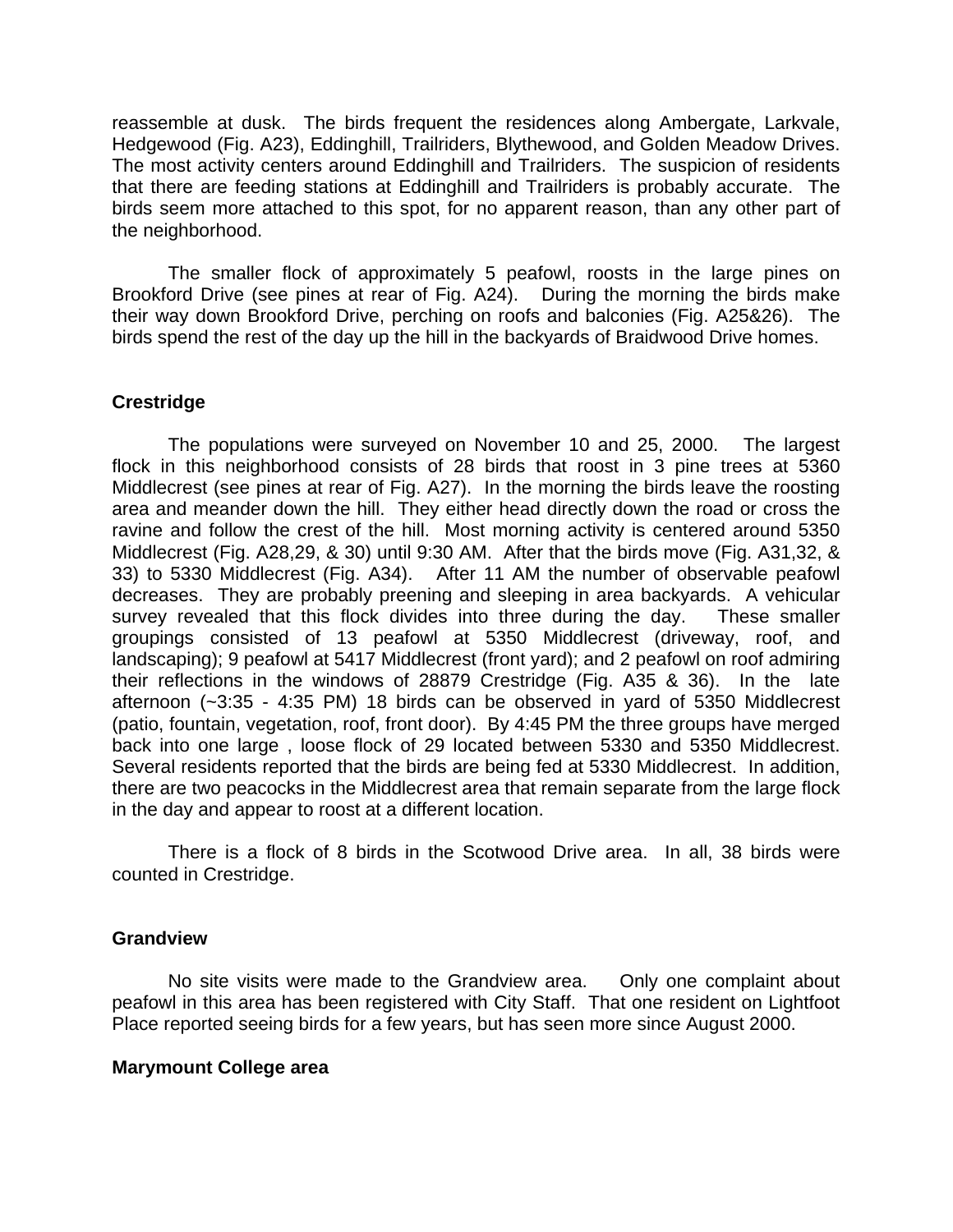reassemble at dusk. The birds frequent the residences along Ambergate, Larkvale, Hedgewood (Fig. A23), Eddinghill, Trailriders, Blythewood, and Golden Meadow Drives. The most activity centers around Eddinghill and Trailriders. The suspicion of residents that there are feeding stations at Eddinghill and Trailriders is probably accurate. The birds seem more attached to this spot, for no apparent reason, than any other part of the neighborhood.

The smaller flock of approximately 5 peafowl, roosts in the large pines on Brookford Drive (see pines at rear of Fig. A24). During the morning the birds make their way down Brookford Drive, perching on roofs and balconies (Fig. A25&26). The birds spend the rest of the day up the hill in the backyards of Braidwood Drive homes.

#### **Crestridge**

The populations were surveyed on November 10 and 25, 2000. The largest flock in this neighborhood consists of 28 birds that roost in 3 pine trees at 5360 Middlecrest (see pines at rear of Fig. A27). In the morning the birds leave the roosting area and meander down the hill. They either head directly down the road or cross the ravine and follow the crest of the hill. Most morning activity is centered around 5350 Middlecrest (Fig. A28,29, & 30) until 9:30 AM. After that the birds move (Fig. A31,32, & 33) to 5330 Middlecrest (Fig. A34). After 11 AM the number of observable peafowl decreases. They are probably preening and sleeping in area backyards. A vehicular survey revealed that this flock divides into three during the day. These smaller groupings consisted of 13 peafowl at 5350 Middlecrest (driveway, roof, and landscaping); 9 peafowl at 5417 Middlecrest (front yard); and 2 peafowl on roof admiring their reflections in the windows of 28879 Crestridge (Fig. A35 & 36). In the late afternoon (~3:35 - 4:35 PM) 18 birds can be observed in yard of 5350 Middlecrest (patio, fountain, vegetation, roof, front door). By 4:45 PM the three groups have merged back into one large , loose flock of 29 located between 5330 and 5350 Middlecrest. Several residents reported that the birds are being fed at 5330 Middlecrest. In addition, there are two peacocks in the Middlecrest area that remain separate from the large flock in the day and appear to roost at a different location.

There is a flock of 8 birds in the Scotwood Drive area. In all, 38 birds were counted in Crestridge.

#### **Grandview**

No site visits were made to the Grandview area. Only one complaint about peafowl in this area has been registered with City Staff. That one resident on Lightfoot Place reported seeing birds for a few years, but has seen more since August 2000.

#### **Marymount College area**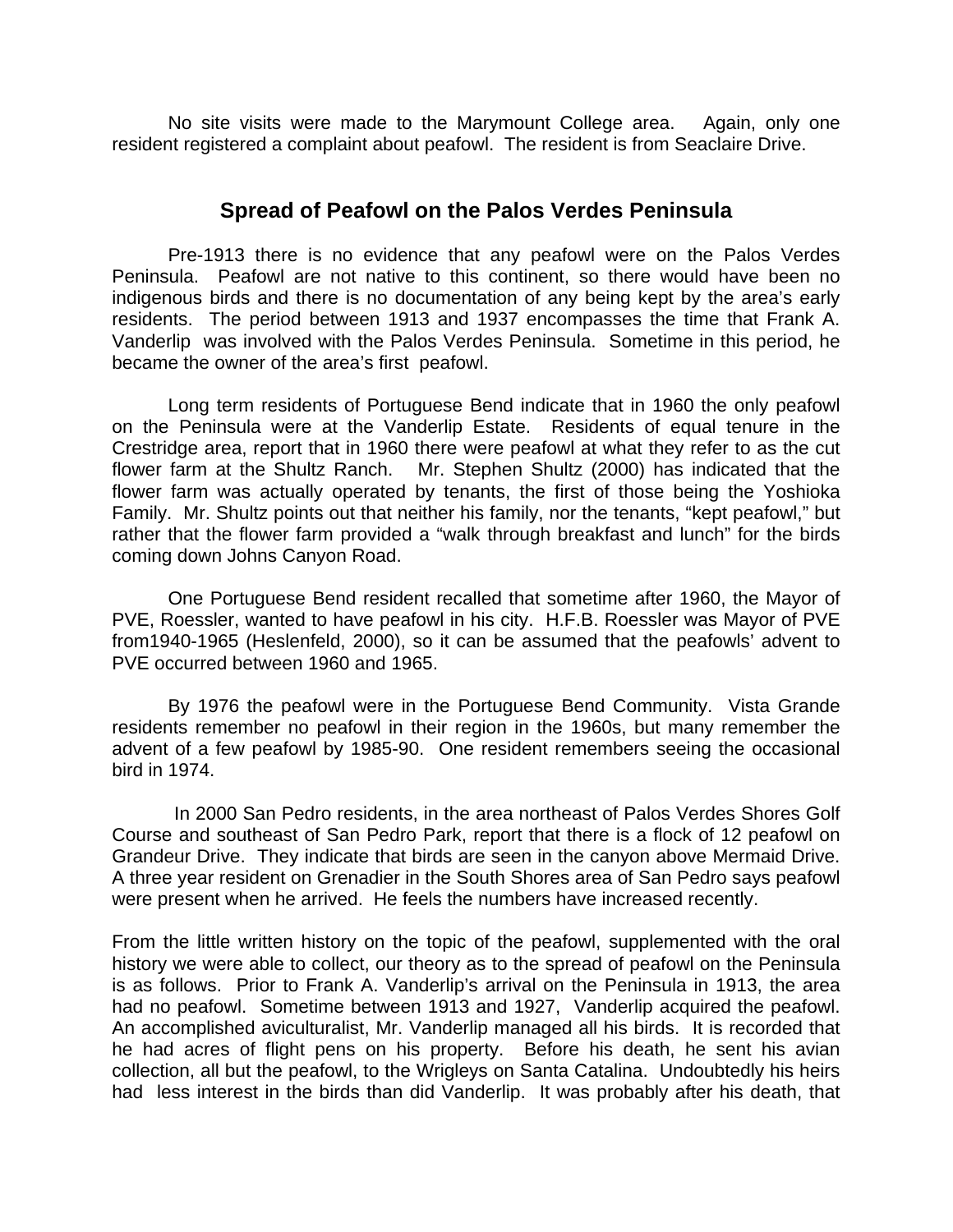No site visits were made to the Marymount College area. Again, only one resident registered a complaint about peafowl. The resident is from Seaclaire Drive.

#### **Spread of Peafowl on the Palos Verdes Peninsula**

Pre-1913 there is no evidence that any peafowl were on the Palos Verdes Peninsula. Peafowl are not native to this continent, so there would have been no indigenous birds and there is no documentation of any being kept by the area's early residents. The period between 1913 and 1937 encompasses the time that Frank A. Vanderlip was involved with the Palos Verdes Peninsula. Sometime in this period, he became the owner of the area's first peafowl.

Long term residents of Portuguese Bend indicate that in 1960 the only peafowl on the Peninsula were at the Vanderlip Estate. Residents of equal tenure in the Crestridge area, report that in 1960 there were peafowl at what they refer to as the cut flower farm at the Shultz Ranch. Mr. Stephen Shultz (2000) has indicated that the flower farm was actually operated by tenants, the first of those being the Yoshioka Family. Mr. Shultz points out that neither his family, nor the tenants, "kept peafowl," but rather that the flower farm provided a "walk through breakfast and lunch" for the birds coming down Johns Canyon Road.

One Portuguese Bend resident recalled that sometime after 1960, the Mayor of PVE, Roessler, wanted to have peafowl in his city. H.F.B. Roessler was Mayor of PVE from1940-1965 (Heslenfeld, 2000), so it can be assumed that the peafowls' advent to PVE occurred between 1960 and 1965.

By 1976 the peafowl were in the Portuguese Bend Community. Vista Grande residents remember no peafowl in their region in the 1960s, but many remember the advent of a few peafowl by 1985-90. One resident remembers seeing the occasional bird in 1974.

 In 2000 San Pedro residents, in the area northeast of Palos Verdes Shores Golf Course and southeast of San Pedro Park, report that there is a flock of 12 peafowl on Grandeur Drive. They indicate that birds are seen in the canyon above Mermaid Drive. A three year resident on Grenadier in the South Shores area of San Pedro says peafowl were present when he arrived. He feels the numbers have increased recently.

From the little written history on the topic of the peafowl, supplemented with the oral history we were able to collect, our theory as to the spread of peafowl on the Peninsula is as follows. Prior to Frank A. Vanderlip's arrival on the Peninsula in 1913, the area had no peafowl. Sometime between 1913 and 1927, Vanderlip acquired the peafowl. An accomplished aviculturalist, Mr. Vanderlip managed all his birds. It is recorded that he had acres of flight pens on his property. Before his death, he sent his avian collection, all but the peafowl, to the Wrigleys on Santa Catalina. Undoubtedly his heirs had less interest in the birds than did Vanderlip. It was probably after his death, that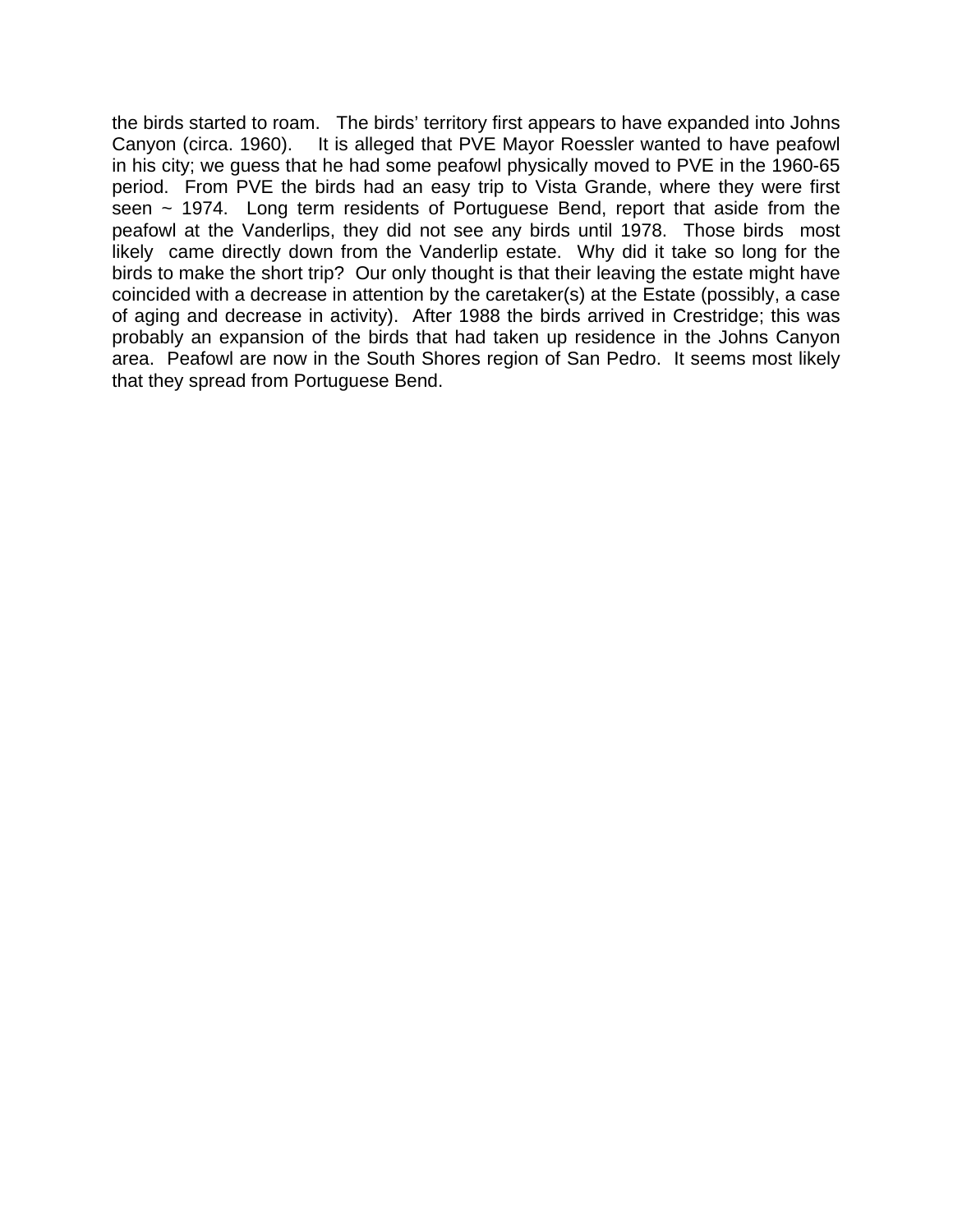the birds started to roam. The birds' territory first appears to have expanded into Johns Canyon (circa. 1960). It is alleged that PVE Mayor Roessler wanted to have peafowl in his city; we guess that he had some peafowl physically moved to PVE in the 1960-65 period. From PVE the birds had an easy trip to Vista Grande, where they were first seen  $\sim$  1974. Long term residents of Portuguese Bend, report that aside from the peafowl at the Vanderlips, they did not see any birds until 1978. Those birds most likely came directly down from the Vanderlip estate. Why did it take so long for the birds to make the short trip? Our only thought is that their leaving the estate might have coincided with a decrease in attention by the caretaker(s) at the Estate (possibly, a case of aging and decrease in activity). After 1988 the birds arrived in Crestridge; this was probably an expansion of the birds that had taken up residence in the Johns Canyon area. Peafowl are now in the South Shores region of San Pedro. It seems most likely that they spread from Portuguese Bend.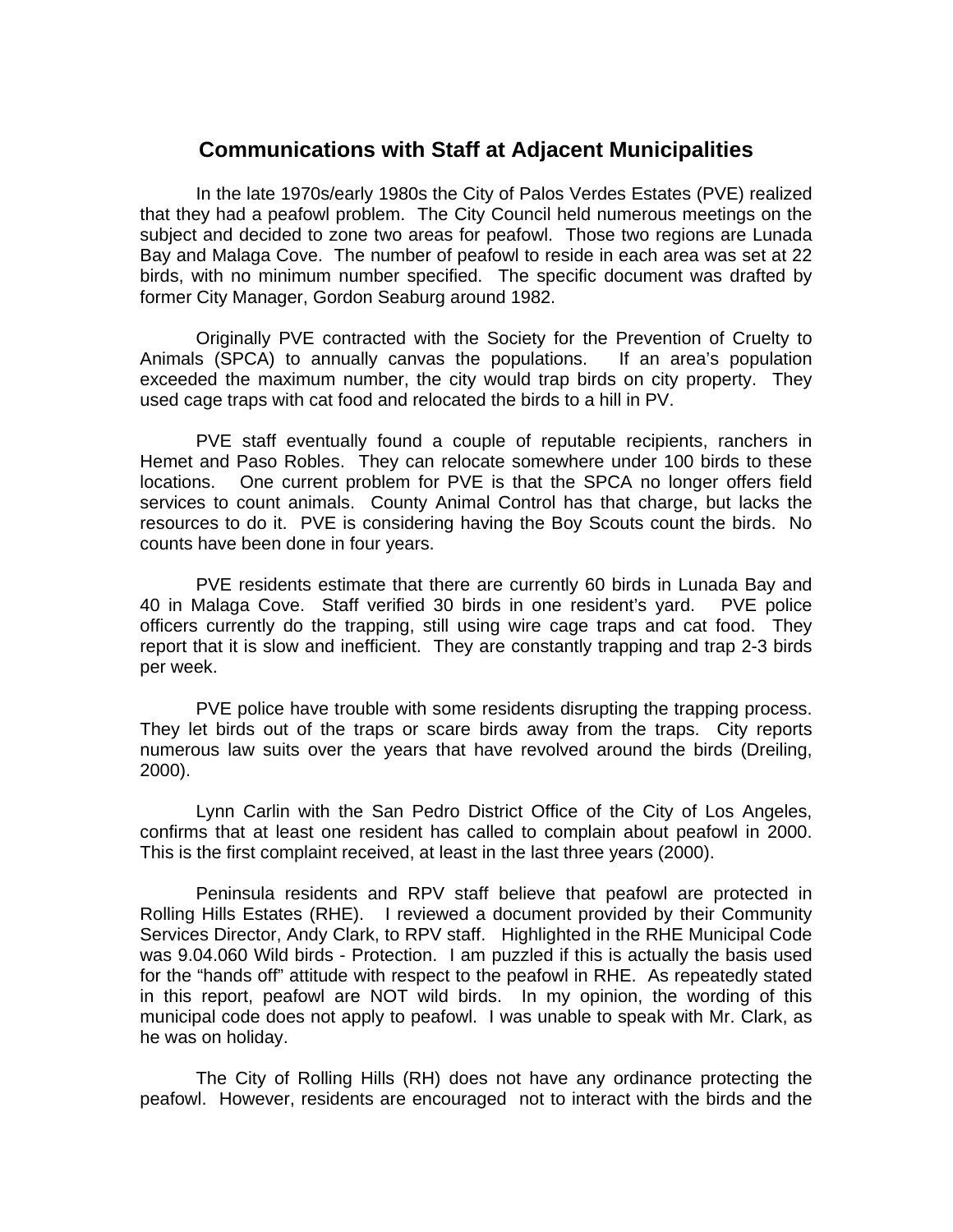## **Communications with Staff at Adjacent Municipalities**

In the late 1970s/early 1980s the City of Palos Verdes Estates (PVE) realized that they had a peafowl problem. The City Council held numerous meetings on the subject and decided to zone two areas for peafowl. Those two regions are Lunada Bay and Malaga Cove. The number of peafowl to reside in each area was set at 22 birds, with no minimum number specified. The specific document was drafted by former City Manager, Gordon Seaburg around 1982.

Originally PVE contracted with the Society for the Prevention of Cruelty to Animals (SPCA) to annually canvas the populations. If an area's population exceeded the maximum number, the city would trap birds on city property. They used cage traps with cat food and relocated the birds to a hill in PV.

PVE staff eventually found a couple of reputable recipients, ranchers in Hemet and Paso Robles. They can relocate somewhere under 100 birds to these locations. One current problem for PVE is that the SPCA no longer offers field services to count animals. County Animal Control has that charge, but lacks the resources to do it. PVE is considering having the Boy Scouts count the birds. No counts have been done in four years.

PVE residents estimate that there are currently 60 birds in Lunada Bay and 40 in Malaga Cove. Staff verified 30 birds in one resident's yard. PVE police officers currently do the trapping, still using wire cage traps and cat food. They report that it is slow and inefficient. They are constantly trapping and trap 2-3 birds per week.

PVE police have trouble with some residents disrupting the trapping process. They let birds out of the traps or scare birds away from the traps. City reports numerous law suits over the years that have revolved around the birds (Dreiling, 2000).

Lynn Carlin with the San Pedro District Office of the City of Los Angeles, confirms that at least one resident has called to complain about peafowl in 2000. This is the first complaint received, at least in the last three years (2000).

Peninsula residents and RPV staff believe that peafowl are protected in Rolling Hills Estates (RHE). I reviewed a document provided by their Community Services Director, Andy Clark, to RPV staff. Highlighted in the RHE Municipal Code was 9.04.060 Wild birds - Protection. I am puzzled if this is actually the basis used for the "hands off" attitude with respect to the peafowl in RHE. As repeatedly stated in this report, peafowl are NOT wild birds. In my opinion, the wording of this municipal code does not apply to peafowl. I was unable to speak with Mr. Clark, as he was on holiday.

The City of Rolling Hills (RH) does not have any ordinance protecting the peafowl. However, residents are encouraged not to interact with the birds and the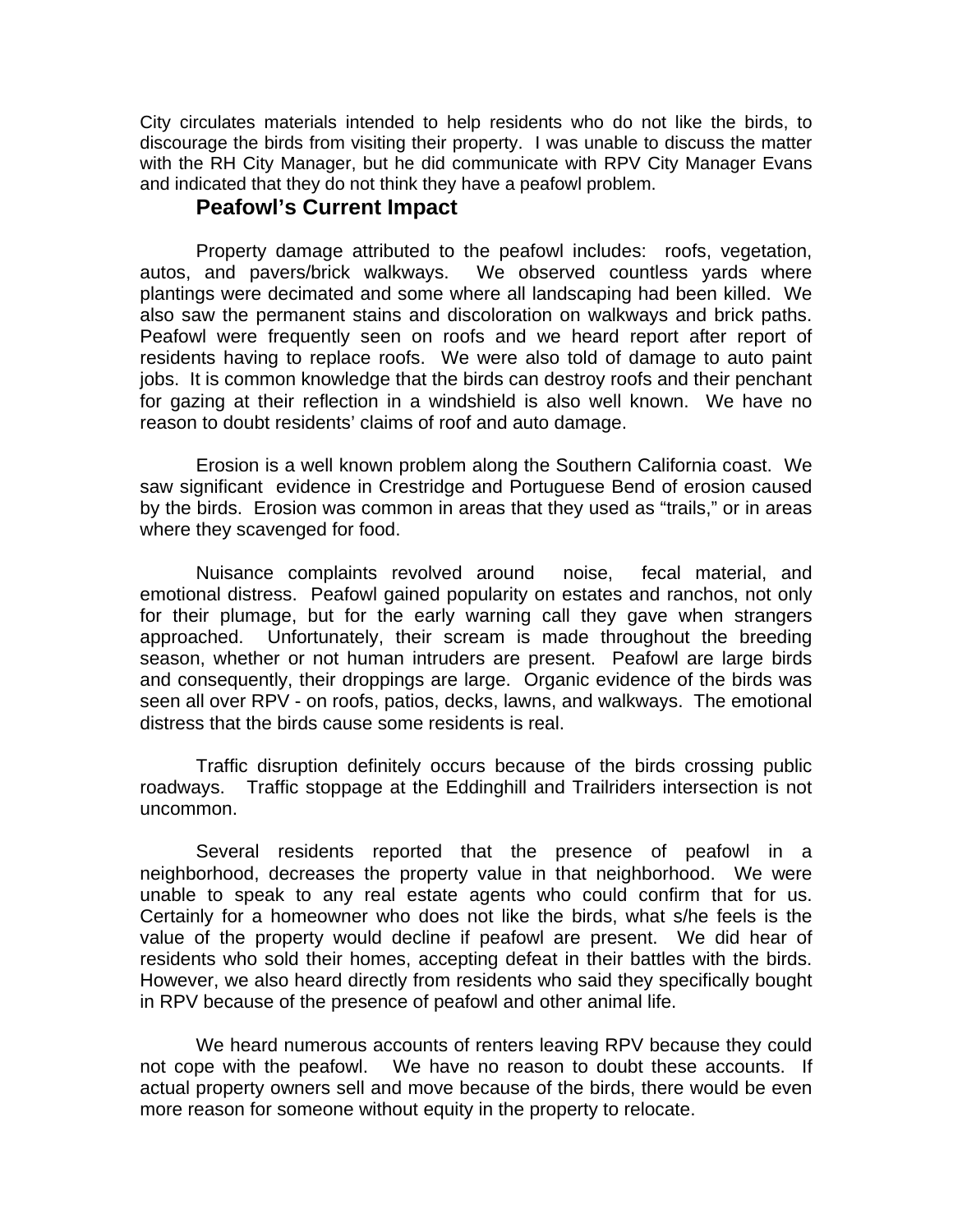City circulates materials intended to help residents who do not like the birds, to discourage the birds from visiting their property. I was unable to discuss the matter with the RH City Manager, but he did communicate with RPV City Manager Evans and indicated that they do not think they have a peafowl problem.

## **Peafowl's Current Impact**

Property damage attributed to the peafowl includes: roofs, vegetation, autos, and pavers/brick walkways. We observed countless yards where plantings were decimated and some where all landscaping had been killed. We also saw the permanent stains and discoloration on walkways and brick paths. Peafowl were frequently seen on roofs and we heard report after report of residents having to replace roofs. We were also told of damage to auto paint jobs. It is common knowledge that the birds can destroy roofs and their penchant for gazing at their reflection in a windshield is also well known. We have no reason to doubt residents' claims of roof and auto damage.

Erosion is a well known problem along the Southern California coast. We saw significant evidence in Crestridge and Portuguese Bend of erosion caused by the birds. Erosion was common in areas that they used as "trails," or in areas where they scavenged for food.

Nuisance complaints revolved around noise, fecal material, and emotional distress. Peafowl gained popularity on estates and ranchos, not only for their plumage, but for the early warning call they gave when strangers approached. Unfortunately, their scream is made throughout the breeding season, whether or not human intruders are present. Peafowl are large birds and consequently, their droppings are large. Organic evidence of the birds was seen all over RPV - on roofs, patios, decks, lawns, and walkways. The emotional distress that the birds cause some residents is real.

Traffic disruption definitely occurs because of the birds crossing public roadways. Traffic stoppage at the Eddinghill and Trailriders intersection is not uncommon.

Several residents reported that the presence of peafowl in a neighborhood, decreases the property value in that neighborhood. We were unable to speak to any real estate agents who could confirm that for us. Certainly for a homeowner who does not like the birds, what s/he feels is the value of the property would decline if peafowl are present. We did hear of residents who sold their homes, accepting defeat in their battles with the birds. However, we also heard directly from residents who said they specifically bought in RPV because of the presence of peafowl and other animal life.

We heard numerous accounts of renters leaving RPV because they could not cope with the peafowl. We have no reason to doubt these accounts. If actual property owners sell and move because of the birds, there would be even more reason for someone without equity in the property to relocate.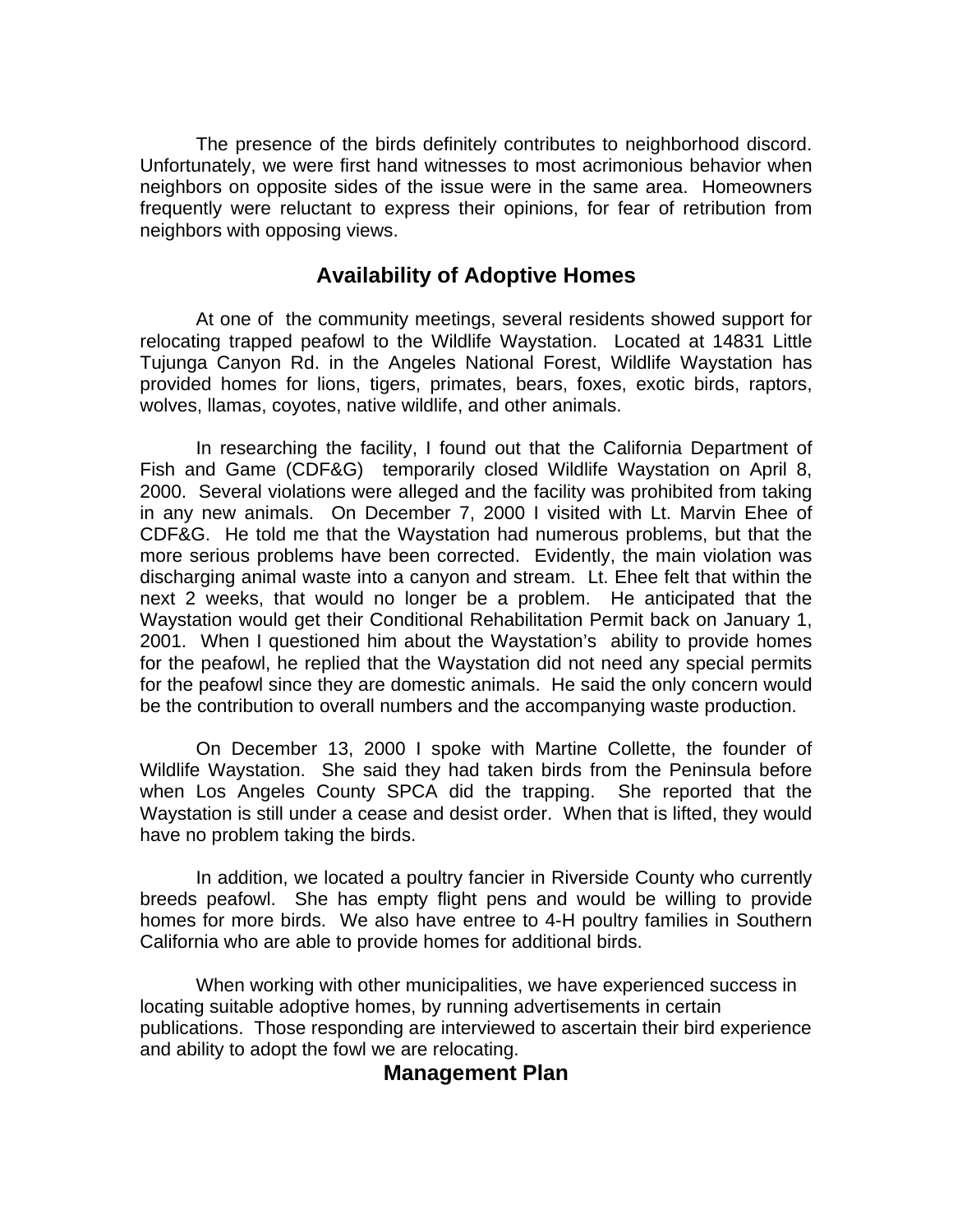The presence of the birds definitely contributes to neighborhood discord. Unfortunately, we were first hand witnesses to most acrimonious behavior when neighbors on opposite sides of the issue were in the same area. Homeowners frequently were reluctant to express their opinions, for fear of retribution from neighbors with opposing views.

# **Availability of Adoptive Homes**

At one of the community meetings, several residents showed support for relocating trapped peafowl to the Wildlife Waystation. Located at 14831 Little Tujunga Canyon Rd. in the Angeles National Forest, Wildlife Waystation has provided homes for lions, tigers, primates, bears, foxes, exotic birds, raptors, wolves, llamas, coyotes, native wildlife, and other animals.

In researching the facility, I found out that the California Department of Fish and Game (CDF&G) temporarily closed Wildlife Waystation on April 8, 2000. Several violations were alleged and the facility was prohibited from taking in any new animals. On December 7, 2000 I visited with Lt. Marvin Ehee of CDF&G. He told me that the Waystation had numerous problems, but that the more serious problems have been corrected. Evidently, the main violation was discharging animal waste into a canyon and stream. Lt. Ehee felt that within the next 2 weeks, that would no longer be a problem. He anticipated that the Waystation would get their Conditional Rehabilitation Permit back on January 1, 2001. When I questioned him about the Waystation's ability to provide homes for the peafowl, he replied that the Waystation did not need any special permits for the peafowl since they are domestic animals. He said the only concern would be the contribution to overall numbers and the accompanying waste production.

On December 13, 2000 I spoke with Martine Collette, the founder of Wildlife Waystation. She said they had taken birds from the Peninsula before when Los Angeles County SPCA did the trapping. She reported that the Waystation is still under a cease and desist order. When that is lifted, they would have no problem taking the birds.

In addition, we located a poultry fancier in Riverside County who currently breeds peafowl. She has empty flight pens and would be willing to provide homes for more birds. We also have entree to 4-H poultry families in Southern California who are able to provide homes for additional birds.

When working with other municipalities, we have experienced success in locating suitable adoptive homes, by running advertisements in certain publications. Those responding are interviewed to ascertain their bird experience and ability to adopt the fowl we are relocating.

# **Management Plan**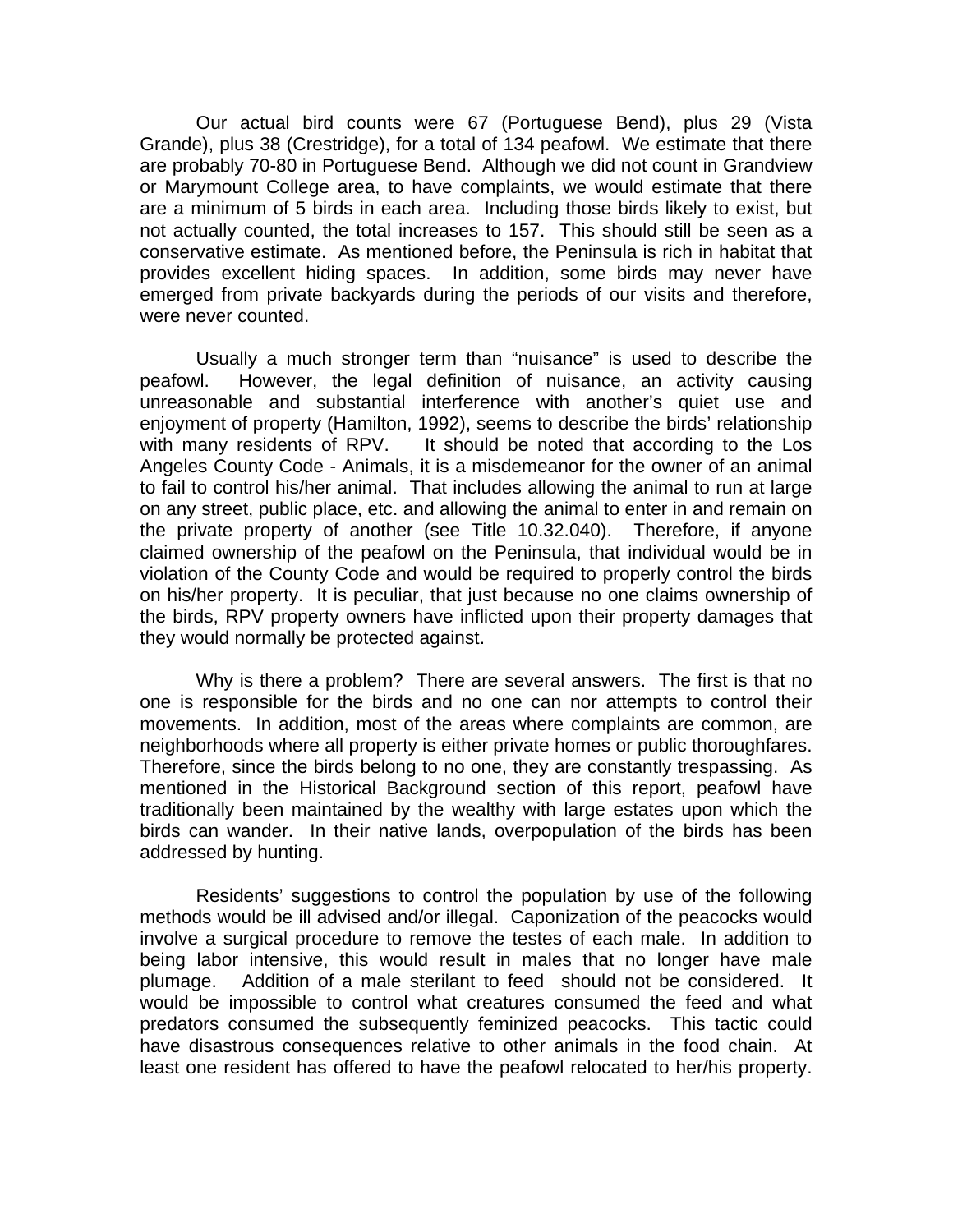Our actual bird counts were 67 (Portuguese Bend), plus 29 (Vista Grande), plus 38 (Crestridge), for a total of 134 peafowl. We estimate that there are probably 70-80 in Portuguese Bend. Although we did not count in Grandview or Marymount College area, to have complaints, we would estimate that there are a minimum of 5 birds in each area. Including those birds likely to exist, but not actually counted, the total increases to 157. This should still be seen as a conservative estimate. As mentioned before, the Peninsula is rich in habitat that provides excellent hiding spaces. In addition, some birds may never have emerged from private backyards during the periods of our visits and therefore, were never counted.

Usually a much stronger term than "nuisance" is used to describe the peafowl. However, the legal definition of nuisance, an activity causing unreasonable and substantial interference with another's quiet use and enjoyment of property (Hamilton, 1992), seems to describe the birds' relationship with many residents of RPV. It should be noted that according to the Los Angeles County Code - Animals, it is a misdemeanor for the owner of an animal to fail to control his/her animal. That includes allowing the animal to run at large on any street, public place, etc. and allowing the animal to enter in and remain on the private property of another (see Title 10.32.040). Therefore, if anyone claimed ownership of the peafowl on the Peninsula, that individual would be in violation of the County Code and would be required to properly control the birds on his/her property. It is peculiar, that just because no one claims ownership of the birds, RPV property owners have inflicted upon their property damages that they would normally be protected against.

Why is there a problem? There are several answers. The first is that no one is responsible for the birds and no one can nor attempts to control their movements. In addition, most of the areas where complaints are common, are neighborhoods where all property is either private homes or public thoroughfares. Therefore, since the birds belong to no one, they are constantly trespassing. As mentioned in the Historical Background section of this report, peafowl have traditionally been maintained by the wealthy with large estates upon which the birds can wander. In their native lands, overpopulation of the birds has been addressed by hunting.

Residents' suggestions to control the population by use of the following methods would be ill advised and/or illegal. Caponization of the peacocks would involve a surgical procedure to remove the testes of each male. In addition to being labor intensive, this would result in males that no longer have male plumage. Addition of a male sterilant to feed should not be considered. It would be impossible to control what creatures consumed the feed and what predators consumed the subsequently feminized peacocks. This tactic could have disastrous consequences relative to other animals in the food chain. At least one resident has offered to have the peafowl relocated to her/his property.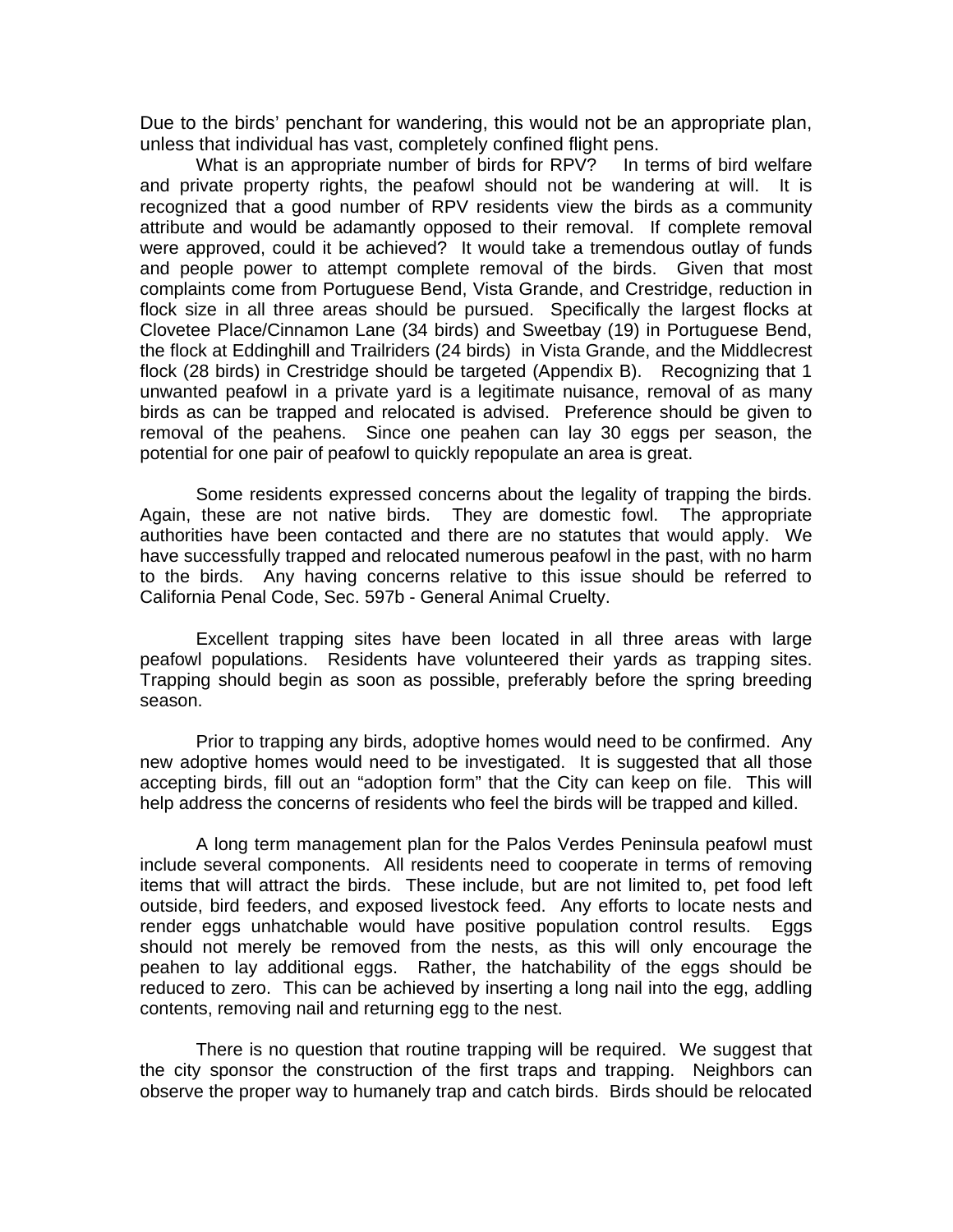Due to the birds' penchant for wandering, this would not be an appropriate plan, unless that individual has vast, completely confined flight pens.

What is an appropriate number of birds for RPV? In terms of bird welfare and private property rights, the peafowl should not be wandering at will. It is recognized that a good number of RPV residents view the birds as a community attribute and would be adamantly opposed to their removal. If complete removal were approved, could it be achieved? It would take a tremendous outlay of funds and people power to attempt complete removal of the birds. Given that most complaints come from Portuguese Bend, Vista Grande, and Crestridge, reduction in flock size in all three areas should be pursued. Specifically the largest flocks at Clovetee Place/Cinnamon Lane (34 birds) and Sweetbay (19) in Portuguese Bend, the flock at Eddinghill and Trailriders (24 birds) in Vista Grande, and the Middlecrest flock (28 birds) in Crestridge should be targeted (Appendix B). Recognizing that 1 unwanted peafowl in a private yard is a legitimate nuisance, removal of as many birds as can be trapped and relocated is advised. Preference should be given to removal of the peahens. Since one peahen can lay 30 eggs per season, the potential for one pair of peafowl to quickly repopulate an area is great.

Some residents expressed concerns about the legality of trapping the birds. Again, these are not native birds. They are domestic fowl. The appropriate authorities have been contacted and there are no statutes that would apply. We have successfully trapped and relocated numerous peafowl in the past, with no harm to the birds. Any having concerns relative to this issue should be referred to California Penal Code, Sec. 597b - General Animal Cruelty.

Excellent trapping sites have been located in all three areas with large peafowl populations. Residents have volunteered their yards as trapping sites. Trapping should begin as soon as possible, preferably before the spring breeding season.

Prior to trapping any birds, adoptive homes would need to be confirmed. Any new adoptive homes would need to be investigated. It is suggested that all those accepting birds, fill out an "adoption form" that the City can keep on file. This will help address the concerns of residents who feel the birds will be trapped and killed.

A long term management plan for the Palos Verdes Peninsula peafowl must include several components. All residents need to cooperate in terms of removing items that will attract the birds. These include, but are not limited to, pet food left outside, bird feeders, and exposed livestock feed. Any efforts to locate nests and render eggs unhatchable would have positive population control results. Eggs should not merely be removed from the nests, as this will only encourage the peahen to lay additional eggs. Rather, the hatchability of the eggs should be reduced to zero. This can be achieved by inserting a long nail into the egg, addling contents, removing nail and returning egg to the nest.

There is no question that routine trapping will be required. We suggest that the city sponsor the construction of the first traps and trapping. Neighbors can observe the proper way to humanely trap and catch birds. Birds should be relocated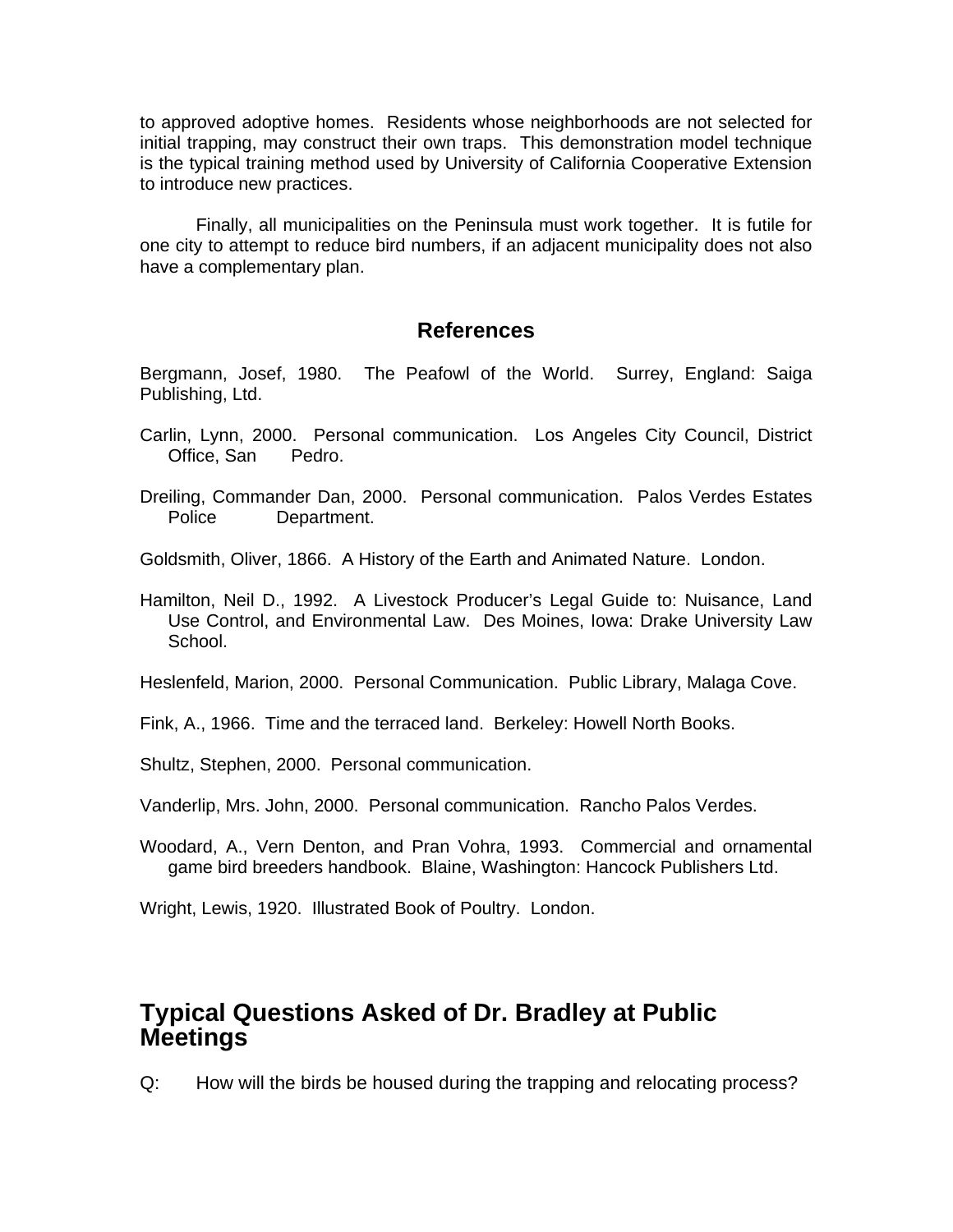to approved adoptive homes. Residents whose neighborhoods are not selected for initial trapping, may construct their own traps. This demonstration model technique is the typical training method used by University of California Cooperative Extension to introduce new practices.

Finally, all municipalities on the Peninsula must work together. It is futile for one city to attempt to reduce bird numbers, if an adjacent municipality does not also have a complementary plan.

# **References**

Bergmann, Josef, 1980. The Peafowl of the World. Surrey, England: Saiga Publishing, Ltd.

- Carlin, Lynn, 2000. Personal communication. Los Angeles City Council, District Office, San Pedro.
- Dreiling, Commander Dan, 2000. Personal communication. Palos Verdes Estates Police Department.
- Goldsmith, Oliver, 1866. A History of the Earth and Animated Nature. London.
- Hamilton, Neil D., 1992. A Livestock Producer's Legal Guide to: Nuisance, Land Use Control, and Environmental Law. Des Moines, Iowa: Drake University Law School.

Heslenfeld, Marion, 2000. Personal Communication. Public Library, Malaga Cove.

Fink, A., 1966. Time and the terraced land. Berkeley: Howell North Books.

Shultz, Stephen, 2000. Personal communication.

Vanderlip, Mrs. John, 2000. Personal communication. Rancho Palos Verdes.

Woodard, A., Vern Denton, and Pran Vohra, 1993. Commercial and ornamental game bird breeders handbook. Blaine, Washington: Hancock Publishers Ltd.

Wright, Lewis, 1920. Illustrated Book of Poultry. London.

# **Typical Questions Asked of Dr. Bradley at Public Meetings**

Q: How will the birds be housed during the trapping and relocating process?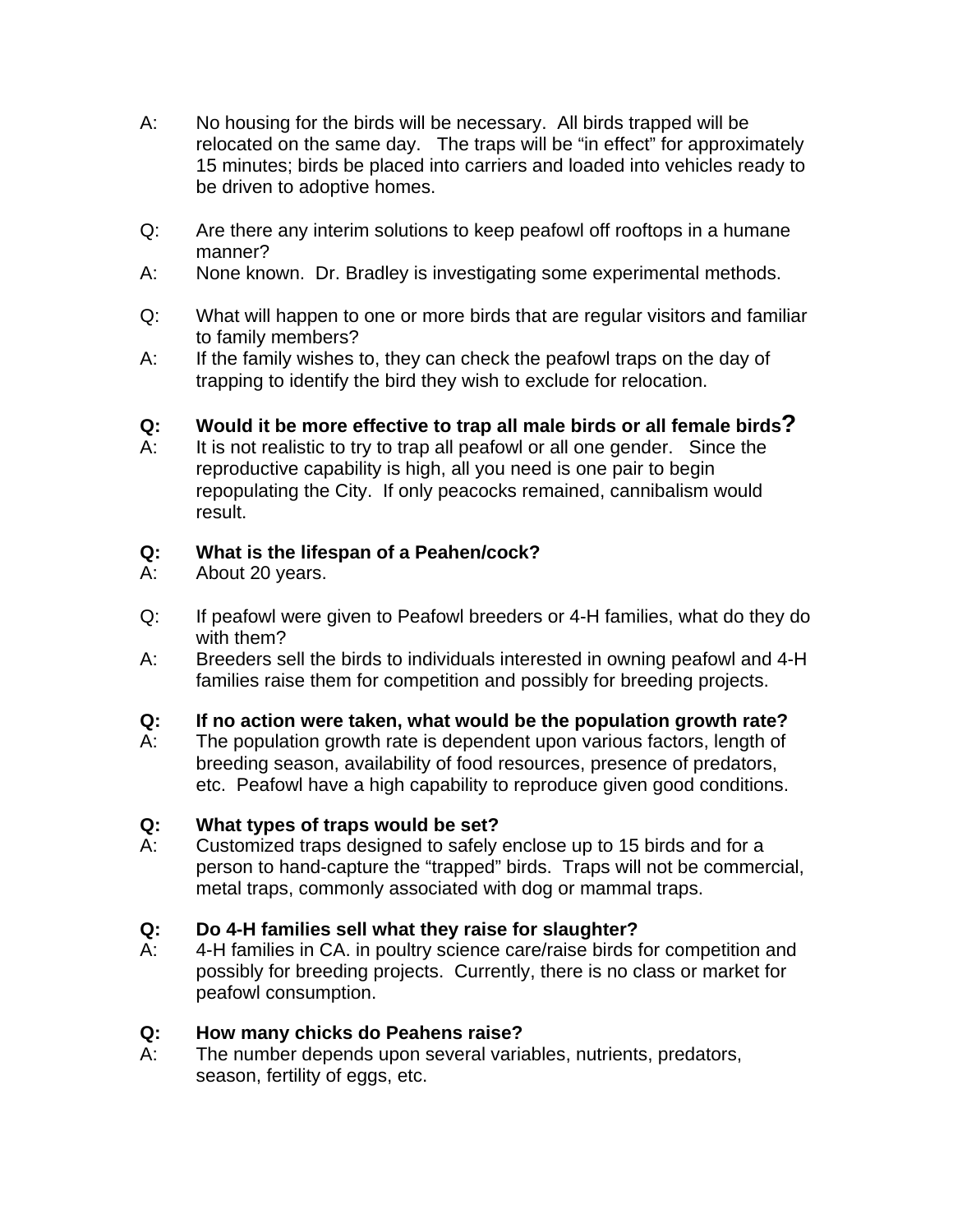- A: No housing for the birds will be necessary. All birds trapped will be relocated on the same day. The traps will be "in effect" for approximately 15 minutes; birds be placed into carriers and loaded into vehicles ready to be driven to adoptive homes.
- Q: Are there any interim solutions to keep peafowl off rooftops in a humane manner?
- A: None known. Dr. Bradley is investigating some experimental methods.
- Q: What will happen to one or more birds that are regular visitors and familiar to family members?
- A: If the family wishes to, they can check the peafowl traps on the day of trapping to identify the bird they wish to exclude for relocation.

# **Q: Would it be more effective to trap all male birds or all female birds?**

A: It is not realistic to try to trap all peafowl or all one gender. Since the reproductive capability is high, all you need is one pair to begin repopulating the City. If only peacocks remained, cannibalism would result.

# **Q: What is the lifespan of a Peahen/cock?**

- A: About 20 years.
- Q: If peafowl were given to Peafowl breeders or 4-H families, what do they do with them?
- A: Breeders sell the birds to individuals interested in owning peafowl and 4-H families raise them for competition and possibly for breeding projects.

# **Q: If no action were taken, what would be the population growth rate?**

A: The population growth rate is dependent upon various factors, length of breeding season, availability of food resources, presence of predators, etc. Peafowl have a high capability to reproduce given good conditions.

# **Q: What types of traps would be set?**

A: Customized traps designed to safely enclose up to 15 birds and for a person to hand-capture the "trapped" birds. Traps will not be commercial, metal traps, commonly associated with dog or mammal traps.

# **Q: Do 4-H families sell what they raise for slaughter?**

A: 4-H families in CA. in poultry science care/raise birds for competition and possibly for breeding projects. Currently, there is no class or market for peafowl consumption.

# **Q: How many chicks do Peahens raise?**

A: The number depends upon several variables, nutrients, predators, season, fertility of eggs, etc.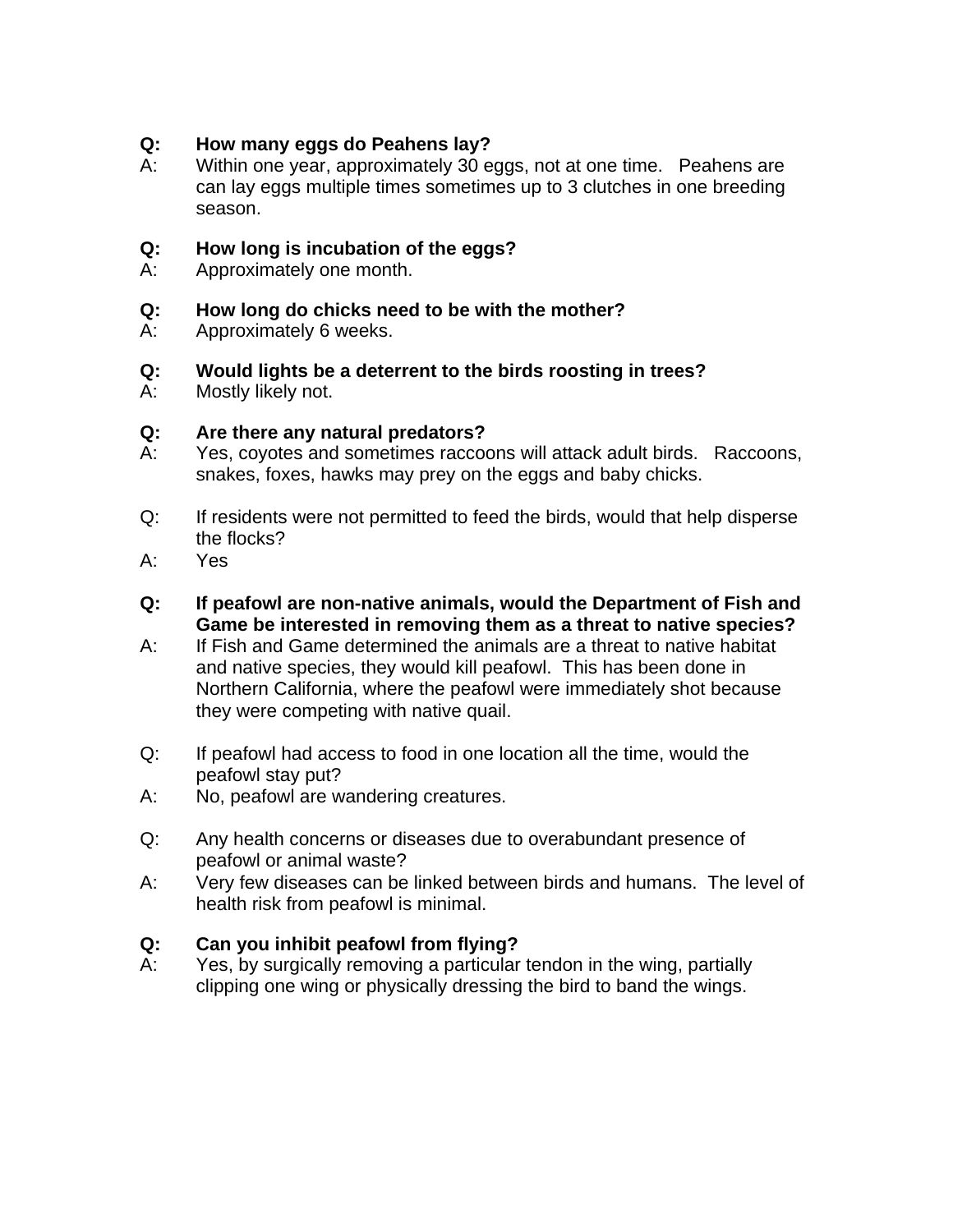## **Q: How many eggs do Peahens lay?**

A: Within one year, approximately 30 eggs, not at one time. Peahens are can lay eggs multiple times sometimes up to 3 clutches in one breeding season.

### **Q: How long is incubation of the eggs?**

- A: Approximately one month.
- **Q: How long do chicks need to be with the mother?**
- A: Approximately 6 weeks.
- **Q: Would lights be a deterrent to the birds roosting in trees?**
- A: Mostly likely not.

#### **Q: Are there any natural predators?**

- A: Yes, coyotes and sometimes raccoons will attack adult birds. Raccoons, snakes, foxes, hawks may prey on the eggs and baby chicks.
- Q: If residents were not permitted to feed the birds, would that help disperse the flocks?
- A: Yes
- **Q: If peafowl are non-native animals, would the Department of Fish and Game be interested in removing them as a threat to native species?**
- A: If Fish and Game determined the animals are a threat to native habitat and native species, they would kill peafowl. This has been done in Northern California, where the peafowl were immediately shot because they were competing with native quail.
- Q: If peafowl had access to food in one location all the time, would the peafowl stay put?
- A: No, peafowl are wandering creatures.
- Q: Any health concerns or diseases due to overabundant presence of peafowl or animal waste?
- A: Very few diseases can be linked between birds and humans. The level of health risk from peafowl is minimal.

# **Q: Can you inhibit peafowl from flying?**

A: Yes, by surgically removing a particular tendon in the wing, partially clipping one wing or physically dressing the bird to band the wings.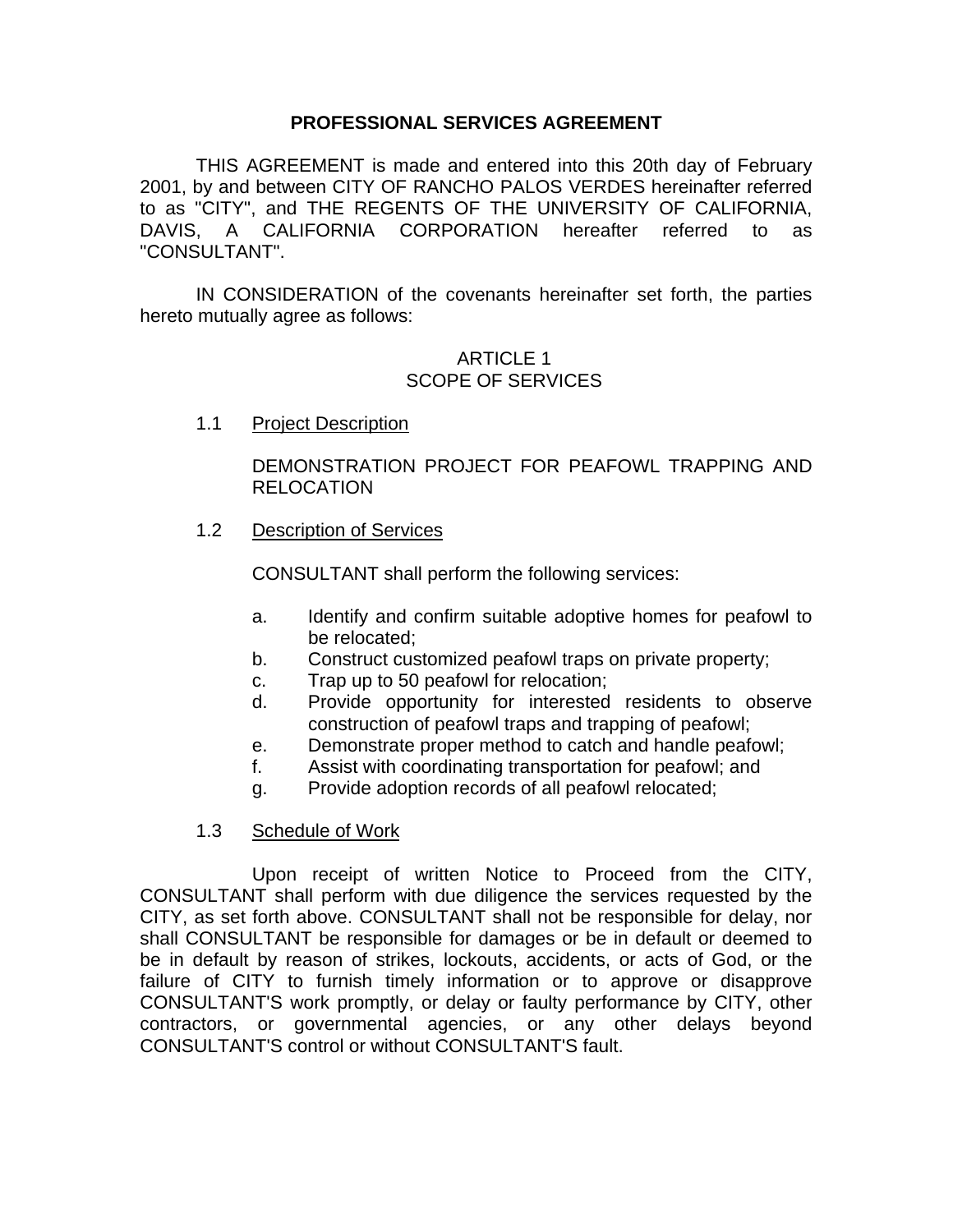#### **PROFESSIONAL SERVICES AGREEMENT**

THIS AGREEMENT is made and entered into this 20th day of February 2001, by and between CITY OF RANCHO PALOS VERDES hereinafter referred to as "CITY", and THE REGENTS OF THE UNIVERSITY OF CALIFORNIA, DAVIS, A CALIFORNIA CORPORATION hereafter referred to as "CONSULTANT".

IN CONSIDERATION of the covenants hereinafter set forth, the parties hereto mutually agree as follows:

### ARTICLE 1 SCOPE OF SERVICES

1.1 Project Description

DEMONSTRATION PROJECT FOR PEAFOWL TRAPPING AND RELOCATION

1.2 Description of Services

CONSULTANT shall perform the following services:

- a. Identify and confirm suitable adoptive homes for peafowl to be relocated;
- b. Construct customized peafowl traps on private property;
- c. Trap up to 50 peafowl for relocation;
- d. Provide opportunity for interested residents to observe construction of peafowl traps and trapping of peafowl;
- e. Demonstrate proper method to catch and handle peafowl;
- f. Assist with coordinating transportation for peafowl; and
- g. Provide adoption records of all peafowl relocated;
- 1.3 Schedule of Work

Upon receipt of written Notice to Proceed from the CITY, CONSULTANT shall perform with due diligence the services requested by the CITY, as set forth above. CONSULTANT shall not be responsible for delay, nor shall CONSULTANT be responsible for damages or be in default or deemed to be in default by reason of strikes, lockouts, accidents, or acts of God, or the failure of CITY to furnish timely information or to approve or disapprove CONSULTANT'S work promptly, or delay or faulty performance by CITY, other contractors, or governmental agencies, or any other delays beyond CONSULTANT'S control or without CONSULTANT'S fault.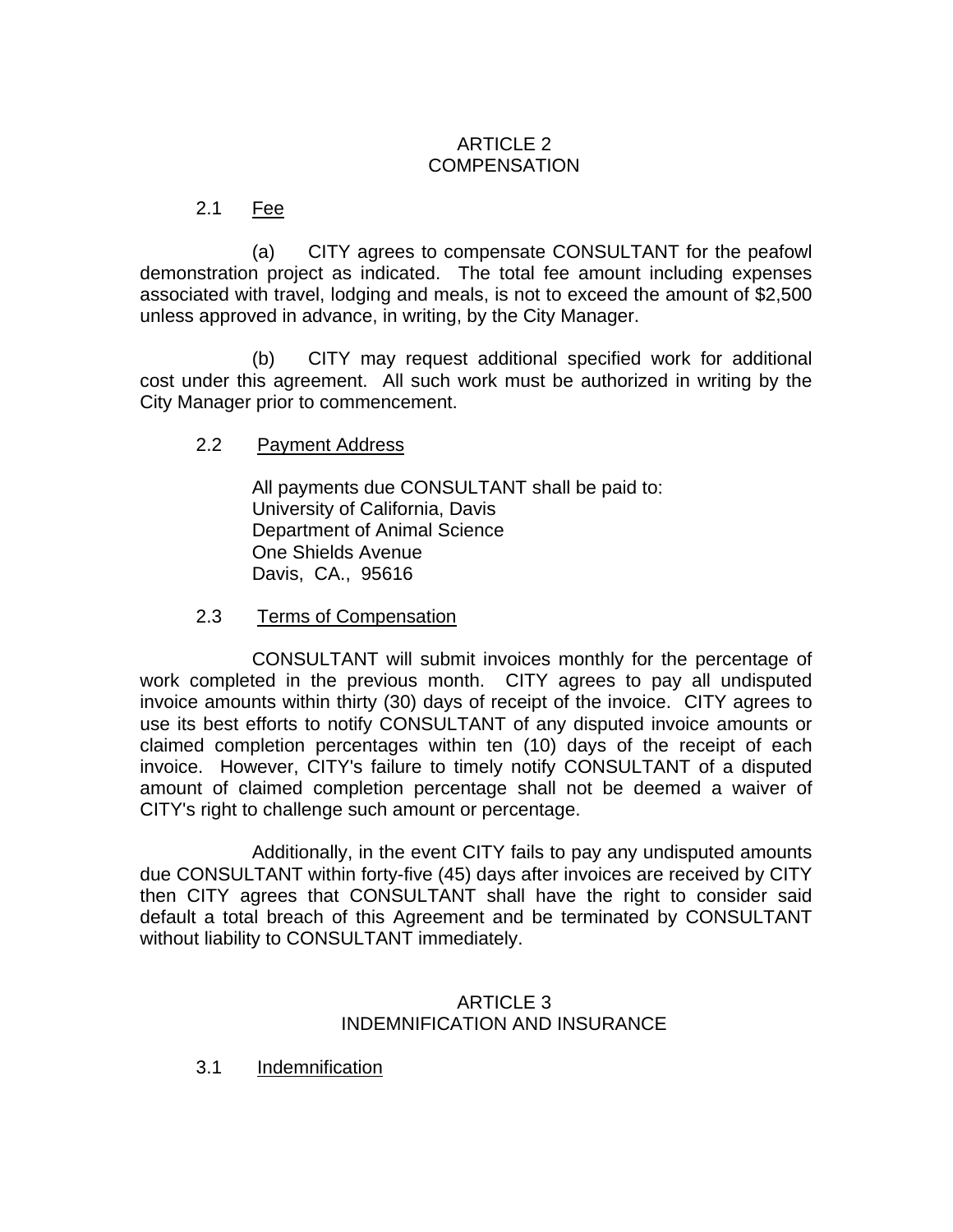# ARTICLE 2 **COMPENSATION**

## 2.1 Fee

(a) CITY agrees to compensate CONSULTANT for the peafowl demonstration project as indicated. The total fee amount including expenses associated with travel, lodging and meals, is not to exceed the amount of \$2,500 unless approved in advance, in writing, by the City Manager.

(b) CITY may request additional specified work for additional cost under this agreement. All such work must be authorized in writing by the City Manager prior to commencement.

#### 2.2 Payment Address

All payments due CONSULTANT shall be paid to: University of California, Davis Department of Animal Science One Shields Avenue Davis, CA., 95616

2.3 Terms of Compensation

CONSULTANT will submit invoices monthly for the percentage of work completed in the previous month. CITY agrees to pay all undisputed invoice amounts within thirty (30) days of receipt of the invoice. CITY agrees to use its best efforts to notify CONSULTANT of any disputed invoice amounts or claimed completion percentages within ten (10) days of the receipt of each invoice. However, CITY's failure to timely notify CONSULTANT of a disputed amount of claimed completion percentage shall not be deemed a waiver of CITY's right to challenge such amount or percentage.

Additionally, in the event CITY fails to pay any undisputed amounts due CONSULTANT within forty-five (45) days after invoices are received by CITY then CITY agrees that CONSULTANT shall have the right to consider said default a total breach of this Agreement and be terminated by CONSULTANT without liability to CONSULTANT immediately.

#### ARTICLE 3 INDEMNIFICATION AND INSURANCE

3.1 Indemnification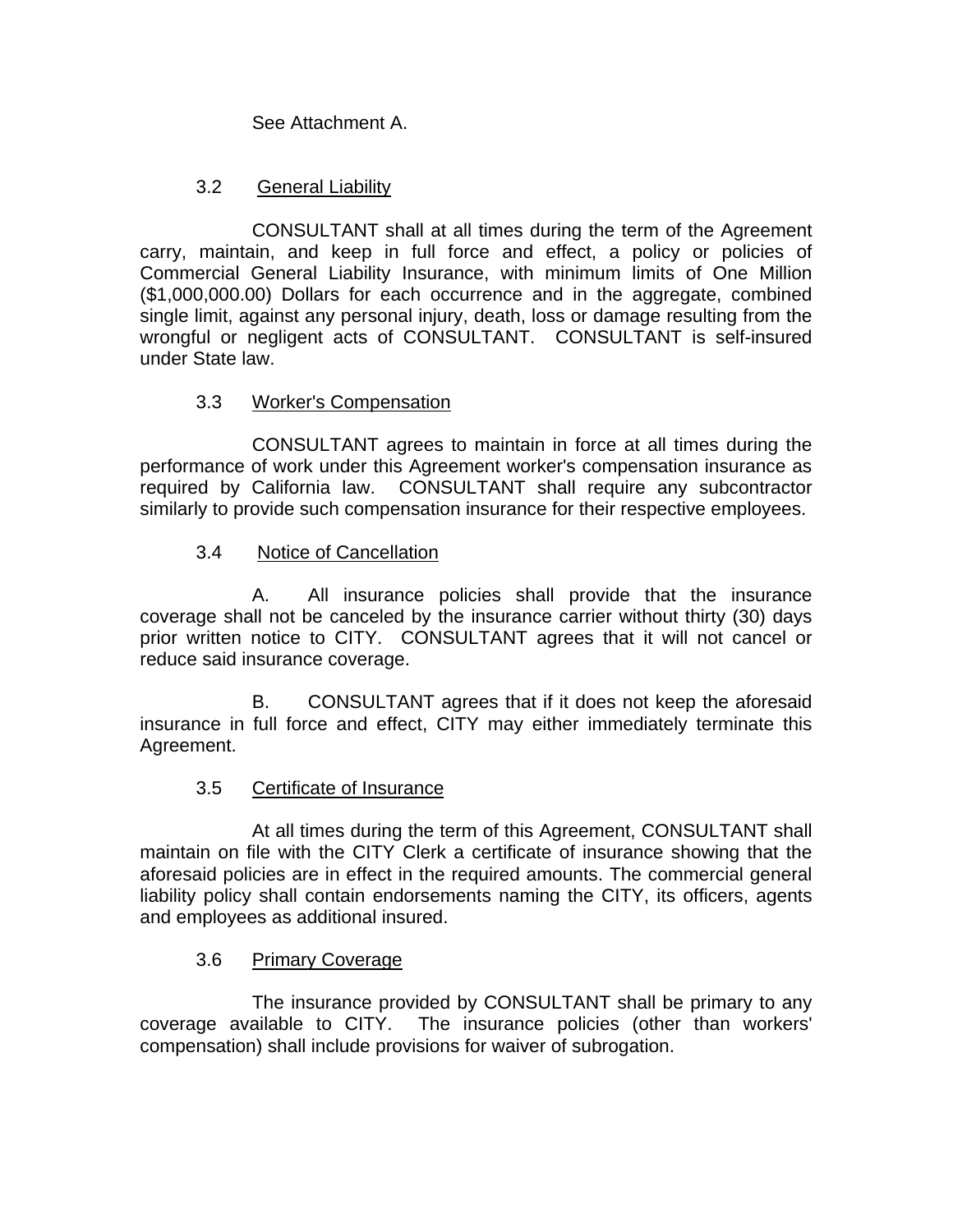See Attachment A.

# 3.2 General Liability

CONSULTANT shall at all times during the term of the Agreement carry, maintain, and keep in full force and effect, a policy or policies of Commercial General Liability Insurance, with minimum limits of One Million (\$1,000,000.00) Dollars for each occurrence and in the aggregate, combined single limit, against any personal injury, death, loss or damage resulting from the wrongful or negligent acts of CONSULTANT. CONSULTANT is self-insured under State law.

# 3.3 Worker's Compensation

CONSULTANT agrees to maintain in force at all times during the performance of work under this Agreement worker's compensation insurance as required by California law. CONSULTANT shall require any subcontractor similarly to provide such compensation insurance for their respective employees.

# 3.4 Notice of Cancellation

A. All insurance policies shall provide that the insurance coverage shall not be canceled by the insurance carrier without thirty (30) days prior written notice to CITY. CONSULTANT agrees that it will not cancel or reduce said insurance coverage.

B. CONSULTANT agrees that if it does not keep the aforesaid insurance in full force and effect, CITY may either immediately terminate this Agreement.

# 3.5 Certificate of Insurance

At all times during the term of this Agreement, CONSULTANT shall maintain on file with the CITY Clerk a certificate of insurance showing that the aforesaid policies are in effect in the required amounts. The commercial general liability policy shall contain endorsements naming the CITY, its officers, agents and employees as additional insured.

# 3.6 Primary Coverage

The insurance provided by CONSULTANT shall be primary to any coverage available to CITY. The insurance policies (other than workers' compensation) shall include provisions for waiver of subrogation.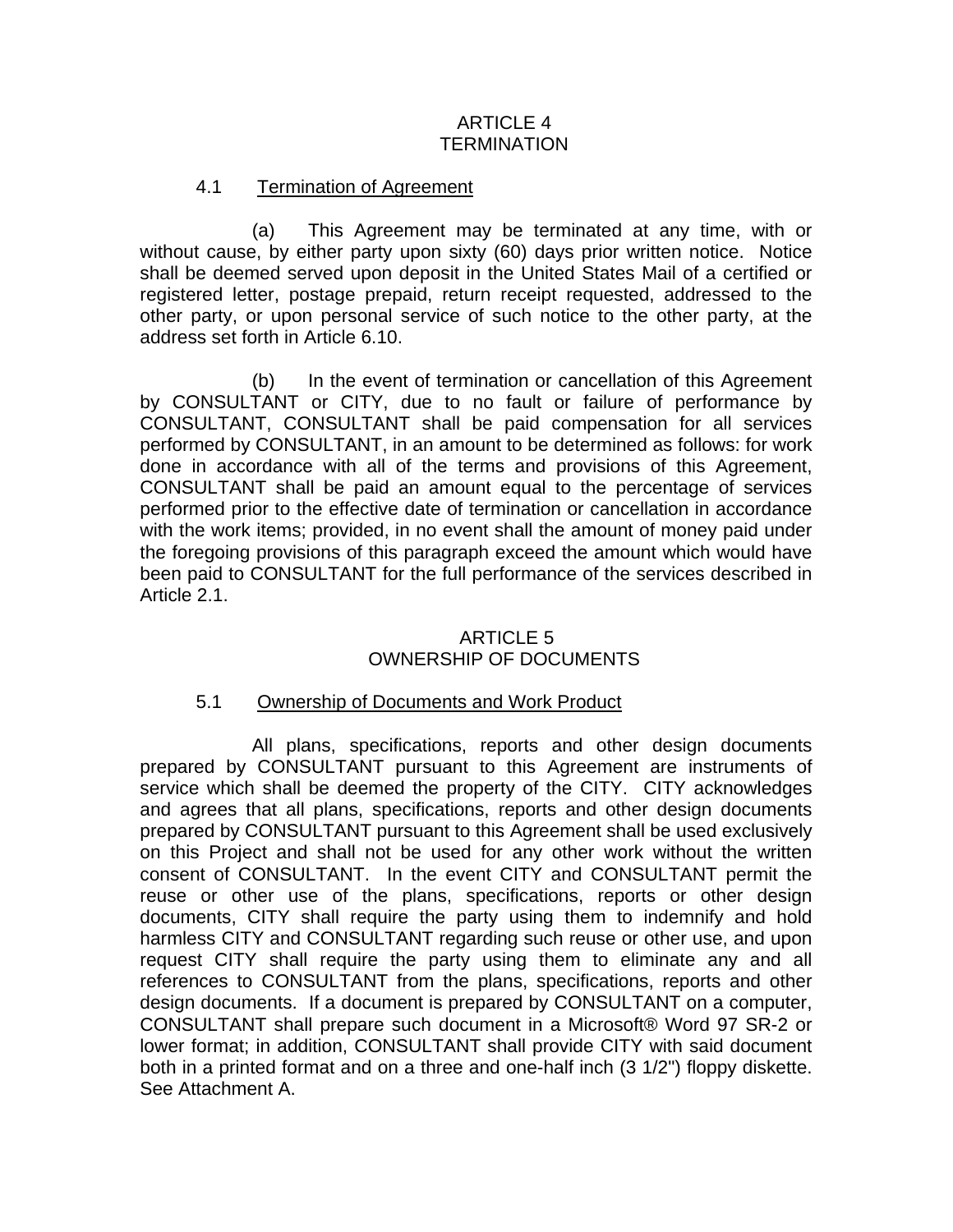### ARTICLE 4 **TERMINATION**

#### 4.1 Termination of Agreement

(a) This Agreement may be terminated at any time, with or without cause, by either party upon sixty (60) days prior written notice. Notice shall be deemed served upon deposit in the United States Mail of a certified or registered letter, postage prepaid, return receipt requested, addressed to the other party, or upon personal service of such notice to the other party, at the address set forth in Article 6.10.

(b) In the event of termination or cancellation of this Agreement by CONSULTANT or CITY, due to no fault or failure of performance by CONSULTANT, CONSULTANT shall be paid compensation for all services performed by CONSULTANT, in an amount to be determined as follows: for work done in accordance with all of the terms and provisions of this Agreement, CONSULTANT shall be paid an amount equal to the percentage of services performed prior to the effective date of termination or cancellation in accordance with the work items; provided, in no event shall the amount of money paid under the foregoing provisions of this paragraph exceed the amount which would have been paid to CONSULTANT for the full performance of the services described in Article 2.1.

# ARTICLE 5 OWNERSHIP OF DOCUMENTS

#### 5.1 Ownership of Documents and Work Product

All plans, specifications, reports and other design documents prepared by CONSULTANT pursuant to this Agreement are instruments of service which shall be deemed the property of the CITY. CITY acknowledges and agrees that all plans, specifications, reports and other design documents prepared by CONSULTANT pursuant to this Agreement shall be used exclusively on this Project and shall not be used for any other work without the written consent of CONSULTANT. In the event CITY and CONSULTANT permit the reuse or other use of the plans, specifications, reports or other design documents, CITY shall require the party using them to indemnify and hold harmless CITY and CONSULTANT regarding such reuse or other use, and upon request CITY shall require the party using them to eliminate any and all references to CONSULTANT from the plans, specifications, reports and other design documents. If a document is prepared by CONSULTANT on a computer, CONSULTANT shall prepare such document in a Microsoft® Word 97 SR-2 or lower format; in addition, CONSULTANT shall provide CITY with said document both in a printed format and on a three and one-half inch (3 1/2") floppy diskette. See Attachment A.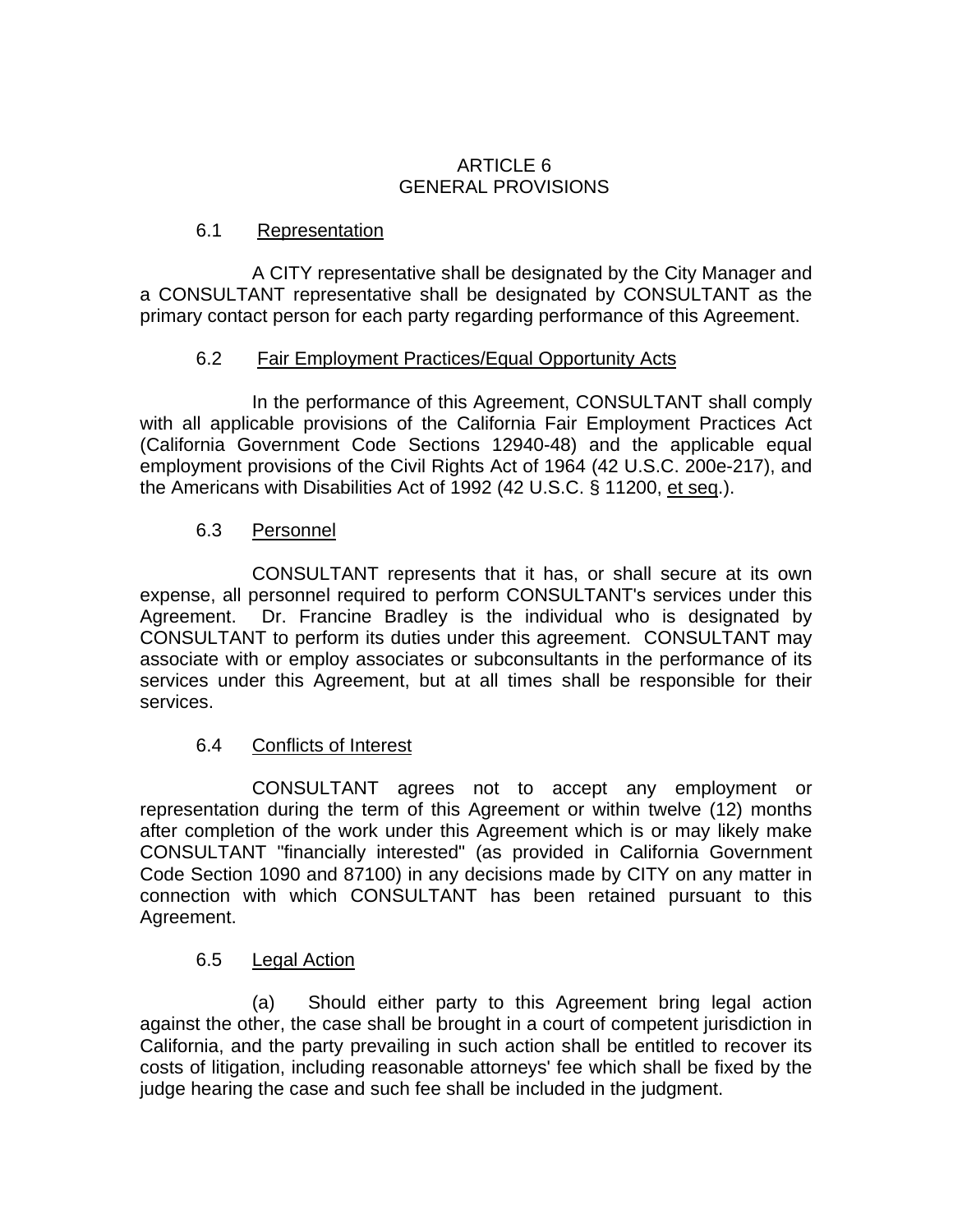### ARTICLE 6 GENERAL PROVISIONS

## 6.1 Representation

A CITY representative shall be designated by the City Manager and a CONSULTANT representative shall be designated by CONSULTANT as the primary contact person for each party regarding performance of this Agreement.

## 6.2 Fair Employment Practices/Equal Opportunity Acts

In the performance of this Agreement, CONSULTANT shall comply with all applicable provisions of the California Fair Employment Practices Act (California Government Code Sections 12940-48) and the applicable equal employment provisions of the Civil Rights Act of 1964 (42 U.S.C. 200e-217), and the Americans with Disabilities Act of 1992 (42 U.S.C. § 11200, et seq.).

## 6.3 Personnel

CONSULTANT represents that it has, or shall secure at its own expense, all personnel required to perform CONSULTANT's services under this Agreement. Dr. Francine Bradley is the individual who is designated by CONSULTANT to perform its duties under this agreement. CONSULTANT may associate with or employ associates or subconsultants in the performance of its services under this Agreement, but at all times shall be responsible for their services.

# 6.4 Conflicts of Interest

CONSULTANT agrees not to accept any employment or representation during the term of this Agreement or within twelve (12) months after completion of the work under this Agreement which is or may likely make CONSULTANT "financially interested" (as provided in California Government Code Section 1090 and 87100) in any decisions made by CITY on any matter in connection with which CONSULTANT has been retained pursuant to this Agreement.

# 6.5 Legal Action

(a) Should either party to this Agreement bring legal action against the other, the case shall be brought in a court of competent jurisdiction in California, and the party prevailing in such action shall be entitled to recover its costs of litigation, including reasonable attorneys' fee which shall be fixed by the judge hearing the case and such fee shall be included in the judgment.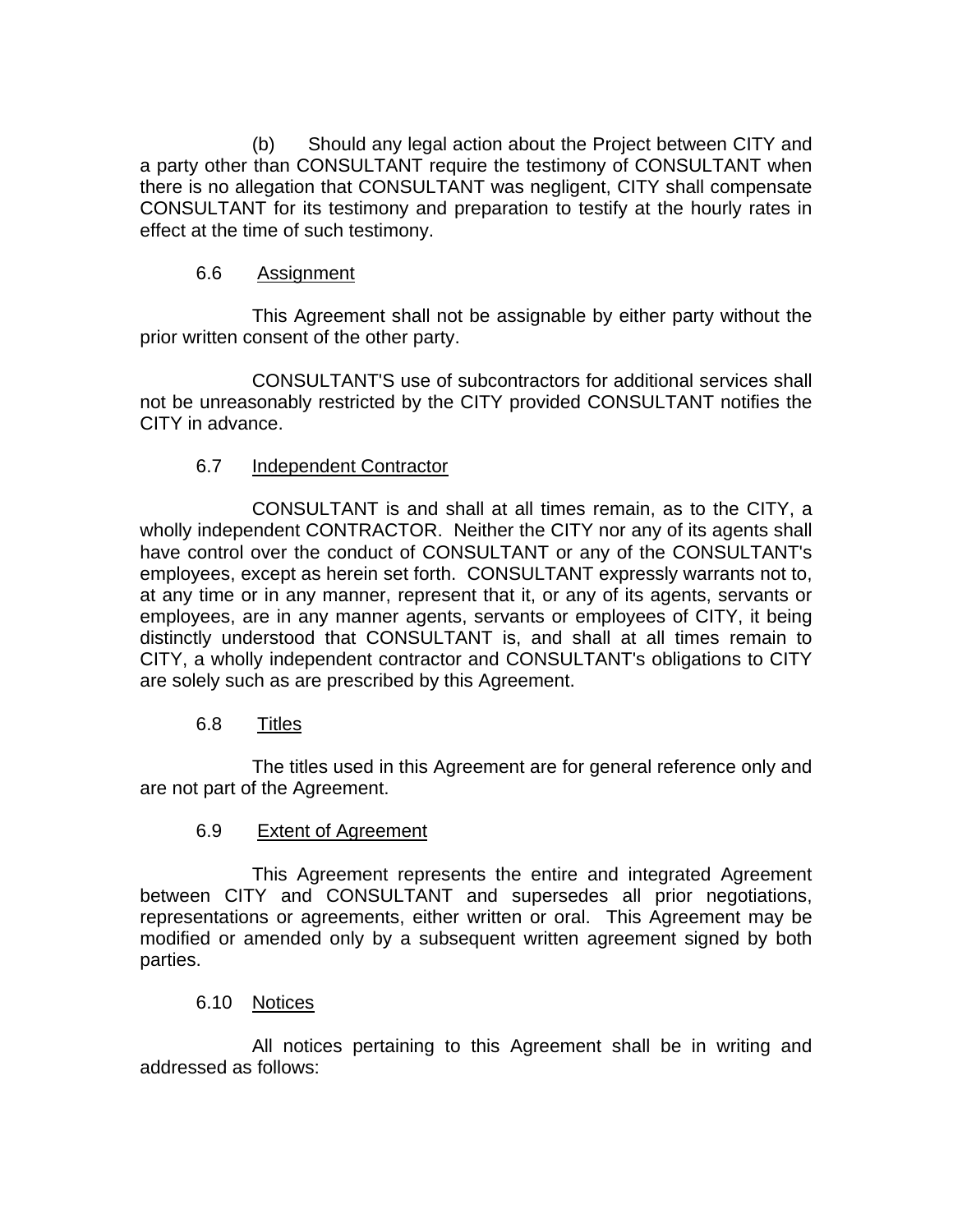(b) Should any legal action about the Project between CITY and a party other than CONSULTANT require the testimony of CONSULTANT when there is no allegation that CONSULTANT was negligent, CITY shall compensate CONSULTANT for its testimony and preparation to testify at the hourly rates in effect at the time of such testimony.

### 6.6 Assignment

This Agreement shall not be assignable by either party without the prior written consent of the other party.

CONSULTANT'S use of subcontractors for additional services shall not be unreasonably restricted by the CITY provided CONSULTANT notifies the CITY in advance.

# 6.7 Independent Contractor

CONSULTANT is and shall at all times remain, as to the CITY, a wholly independent CONTRACTOR. Neither the CITY nor any of its agents shall have control over the conduct of CONSULTANT or any of the CONSULTANT's employees, except as herein set forth. CONSULTANT expressly warrants not to, at any time or in any manner, represent that it, or any of its agents, servants or employees, are in any manner agents, servants or employees of CITY, it being distinctly understood that CONSULTANT is, and shall at all times remain to CITY, a wholly independent contractor and CONSULTANT's obligations to CITY are solely such as are prescribed by this Agreement.

#### 6.8 Titles

The titles used in this Agreement are for general reference only and are not part of the Agreement.

#### 6.9 Extent of Agreement

This Agreement represents the entire and integrated Agreement between CITY and CONSULTANT and supersedes all prior negotiations, representations or agreements, either written or oral. This Agreement may be modified or amended only by a subsequent written agreement signed by both parties.

#### 6.10 Notices

All notices pertaining to this Agreement shall be in writing and addressed as follows: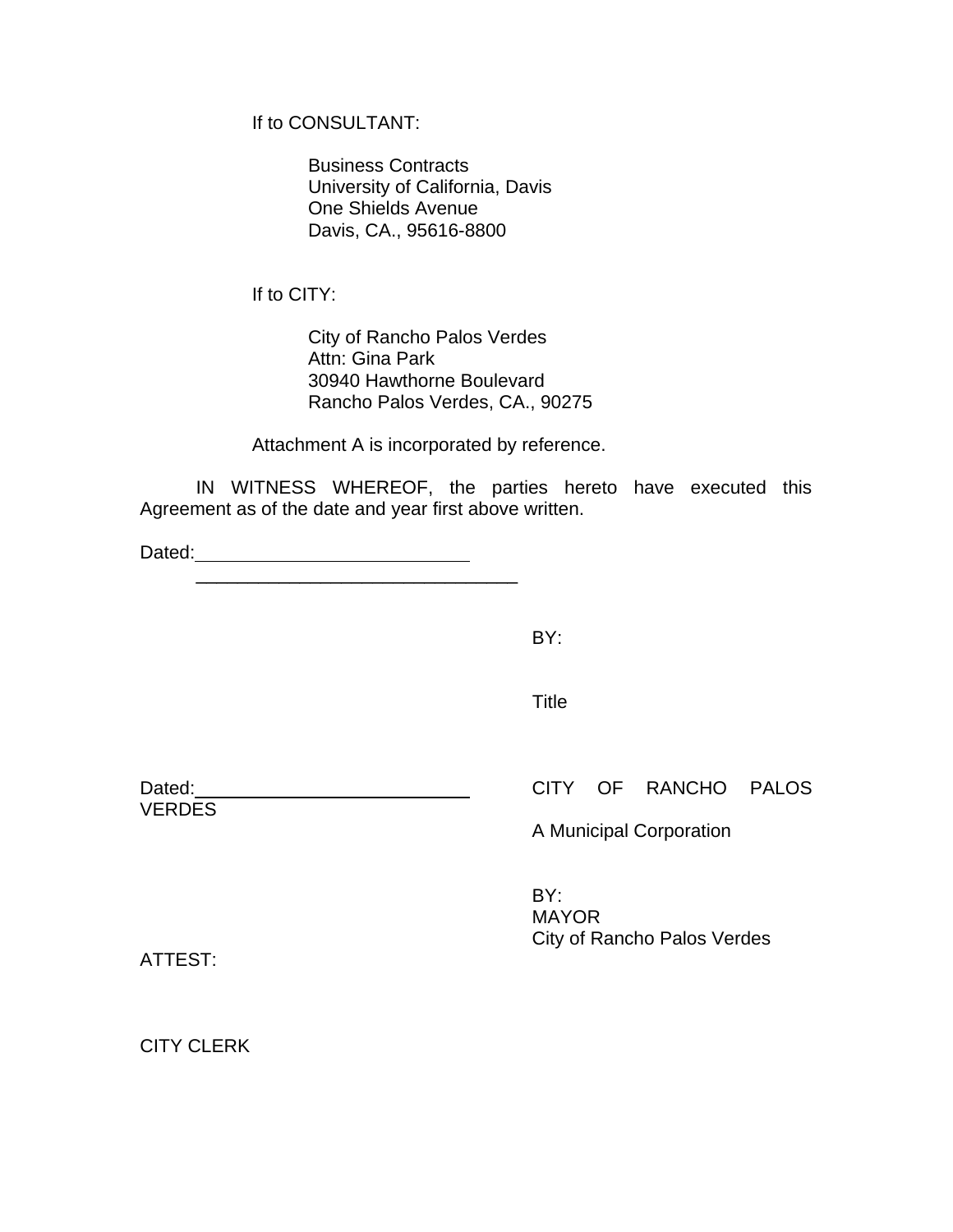If to CONSULTANT:

Business Contracts University of California, Davis One Shields Avenue Davis, CA., 95616-8800

If to CITY:

City of Rancho Palos Verdes Attn: Gina Park 30940 Hawthorne Boulevard Rancho Palos Verdes, CA., 90275

Attachment A is incorporated by reference.

IN WITNESS WHEREOF, the parties hereto have executed this Agreement as of the date and year first above written.

Dated:

BY:

**Title The Community of the Community of Title** 

**VERDES** 

Dated: Dated: CITY OF RANCHO PALOS

A Municipal Corporation

BY: MAYOR City of Rancho Palos Verdes

ATTEST:

CITY CLERK